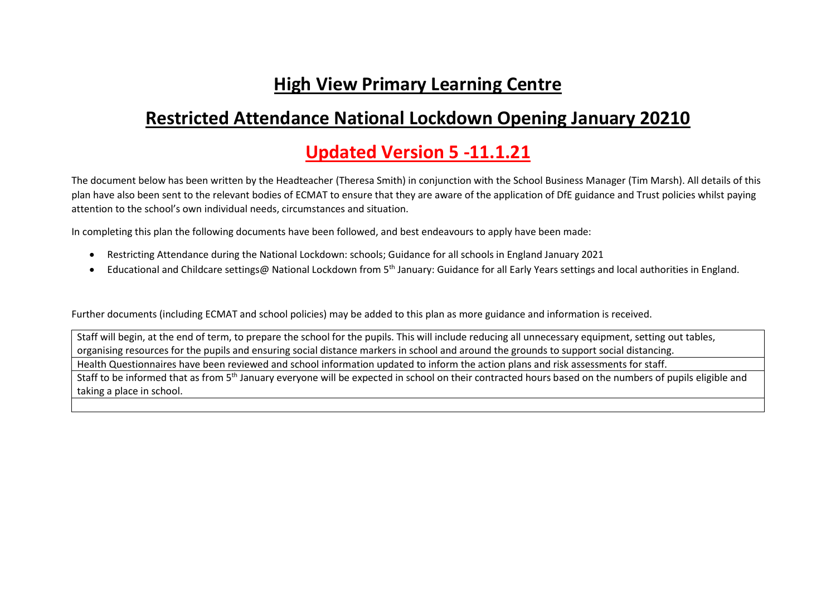# **High View Primary Learning Centre**

# **Restricted Attendance National Lockdown Opening January 20210**

# **Updated Version 5 -11.1.21**

The document below has been written by the Headteacher (Theresa Smith) in conjunction with the School Business Manager (Tim Marsh). All details of this plan have also been sent to the relevant bodies of ECMAT to ensure that they are aware of the application of DfE guidance and Trust policies whilst paying attention to the school's own individual needs, circumstances and situation.

In completing this plan the following documents have been followed, and best endeavours to apply have been made:

- Restricting Attendance during the National Lockdown: schools; Guidance for all schools in England January 2021
- Educational and Childcare settings@ National Lockdown from 5<sup>th</sup> January: Guidance for all Early Years settings and local authorities in England.

Further documents (including ECMAT and school policies) may be added to this plan as more guidance and information is received.

Staff will begin, at the end of term, to prepare the school for the pupils. This will include reducing all unnecessary equipment, setting out tables, organising resources for the pupils and ensuring social distance markers in school and around the grounds to support social distancing. Health Questionnaires have been reviewed and school information updated to inform the action plans and risk assessments for staff. Staff to be informed that as from 5<sup>th</sup> January everyone will be expected in school on their contracted hours based on the numbers of pupils eligible and taking a place in school.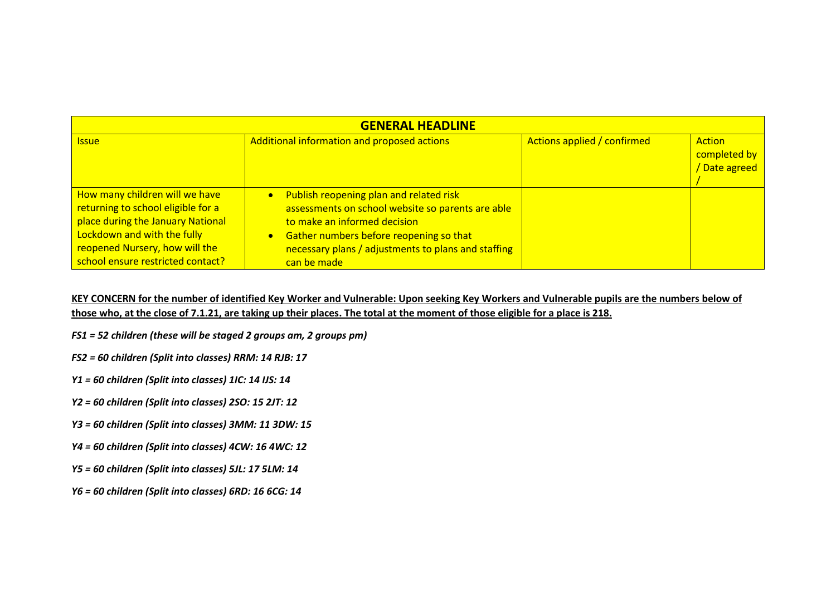| <b>GENERAL HEADLINE</b>                                                                                                                                                                                         |                                                                                                                                                                                                                                                                         |                             |                                         |
|-----------------------------------------------------------------------------------------------------------------------------------------------------------------------------------------------------------------|-------------------------------------------------------------------------------------------------------------------------------------------------------------------------------------------------------------------------------------------------------------------------|-----------------------------|-----------------------------------------|
| <b>Issue</b>                                                                                                                                                                                                    | Additional information and proposed actions                                                                                                                                                                                                                             | Actions applied / confirmed | Action<br>completed by<br>/ Date agreed |
| How many children will we have<br>returning to school eligible for a<br>place during the January National<br>Lockdown and with the fully<br>reopened Nursery, how will the<br>school ensure restricted contact? | Publish reopening plan and related risk<br>$\bullet$<br>assessments on school website so parents are able<br>to make an informed decision<br>Gather numbers before reopening so that<br>$\bullet$<br>necessary plans / adjustments to plans and staffing<br>can be made |                             |                                         |

#### **KEY CONCERN for the number of identified Key Worker and Vulnerable: Upon seeking Key Workers and Vulnerable pupils are the numbers below of those who, at the close of 7.1.21, are taking up their places. The total at the moment of those eligible for a place is 218.**

- *FS1 = 52 children (these will be staged 2 groups am, 2 groups pm)*
- *FS2 = 60 children (Split into classes) RRM: 14 RJB: 17*
- *Y1 = 60 children (Split into classes) 1IC: 14 IJS: 14*
- *Y2 = 60 children (Split into classes) 2SO: 15 2JT: 12*
- *Y3 = 60 children (Split into classes) 3MM: 11 3DW: 15*
- *Y4 = 60 children (Split into classes) 4CW: 16 4WC: 12*
- *Y5 = 60 children (Split into classes) 5JL: 17 5LM: 14*
- *Y6 = 60 children (Split into classes) 6RD: 16 6CG: 14*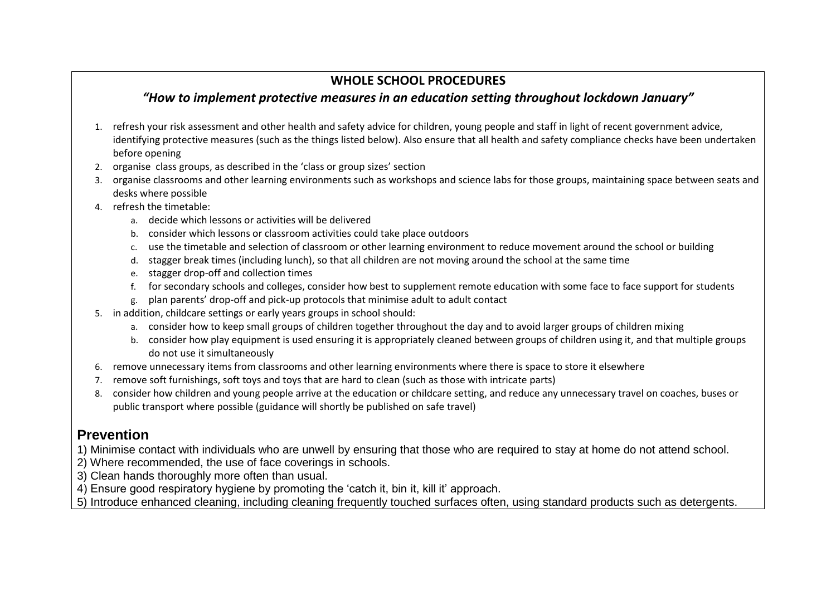## **WHOLE SCHOOL PROCEDURES**

## *"How to implement protective measures in an education setting throughout lockdown January"*

- 1. refresh your risk assessment and other health and safety advice for children, young people and staff in light of recent government advice, identifying protective measures (such as the things listed below). Also ensure that all health and safety compliance checks have been undertaken before opening
- 2. organise class groups, as described in the 'class or group sizes' section
- 3. organise classrooms and other learning environments such as workshops and science labs for those groups, maintaining space between seats and desks where possible
- 4. refresh the timetable:
	- a. decide which lessons or activities will be delivered
	- b. consider which lessons or classroom activities could take place outdoors
	- c. use the timetable and selection of classroom or other learning environment to reduce movement around the school or building
	- d. stagger break times (including lunch), so that all children are not moving around the school at the same time
	- e. stagger drop-off and collection times
	- f. for secondary schools and colleges, consider how best to supplement remote education with some face to face support for students
	- g. plan parents' drop-off and pick-up protocols that minimise adult to adult contact
- 5. in addition, childcare settings or early years groups in school should:
	- a. consider how to keep small groups of children together throughout the day and to avoid larger groups of children mixing
	- b. consider how play equipment is used ensuring it is appropriately cleaned between groups of children using it, and that multiple groups do not use it simultaneously
- 6. remove unnecessary items from classrooms and other learning environments where there is space to store it elsewhere
- 7. remove soft furnishings, soft toys and toys that are hard to clean (such as those with intricate parts)
- 8. consider how children and young people arrive at the education or childcare setting, and reduce any unnecessary travel on coaches, buses or public transport where possible (guidance will shortly be published on safe travel)

## **Prevention**

- 1) Minimise contact with individuals who are unwell by ensuring that those who are required to stay at home do not attend school.
- 2) Where recommended, the use of face coverings in schools.
- 3) Clean hands thoroughly more often than usual.
- 4) Ensure good respiratory hygiene by promoting the 'catch it, bin it, kill it' approach.
- 5) Introduce enhanced cleaning, including cleaning frequently touched surfaces often, using standard products such as detergents.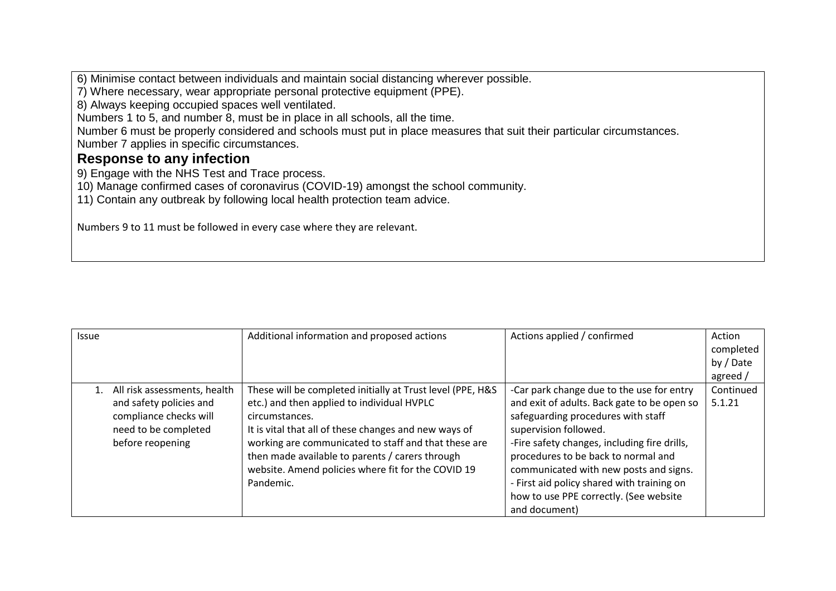6) Minimise contact between individuals and maintain social distancing wherever possible.

7) Where necessary, wear appropriate personal protective equipment (PPE).

8) Always keeping occupied spaces well ventilated.

Numbers 1 to 5, and number 8, must be in place in all schools, all the time.

Number 6 must be properly considered and schools must put in place measures that suit their particular circumstances. Number 7 applies in specific circumstances.

### **Response to any infection**

9) Engage with the NHS Test and Trace process.

10) Manage confirmed cases of coronavirus (COVID-19) amongst the school community.

11) Contain any outbreak by following local health protection team advice.

Numbers 9 to 11 must be followed in every case where they are relevant.

| <b>Issue</b> |                              | Additional information and proposed actions                | Actions applied / confirmed                  | Action    |
|--------------|------------------------------|------------------------------------------------------------|----------------------------------------------|-----------|
|              |                              |                                                            |                                              | completed |
|              |                              |                                                            |                                              | by / Date |
|              |                              |                                                            |                                              | agreed /  |
| 1.           | All risk assessments, health | These will be completed initially at Trust level (PPE, H&S | -Car park change due to the use for entry    | Continued |
|              | and safety policies and      | etc.) and then applied to individual HVPLC                 | and exit of adults. Back gate to be open so  | 5.1.21    |
|              | compliance checks will       | circumstances.                                             | safeguarding procedures with staff           |           |
|              | need to be completed         | It is vital that all of these changes and new ways of      | supervision followed.                        |           |
|              | before reopening             | working are communicated to staff and that these are       | -Fire safety changes, including fire drills, |           |
|              |                              | then made available to parents / carers through            | procedures to be back to normal and          |           |
|              |                              | website. Amend policies where fit for the COVID 19         | communicated with new posts and signs.       |           |
|              |                              | Pandemic.                                                  | - First aid policy shared with training on   |           |
|              |                              |                                                            | how to use PPE correctly. (See website       |           |
|              |                              |                                                            | and document)                                |           |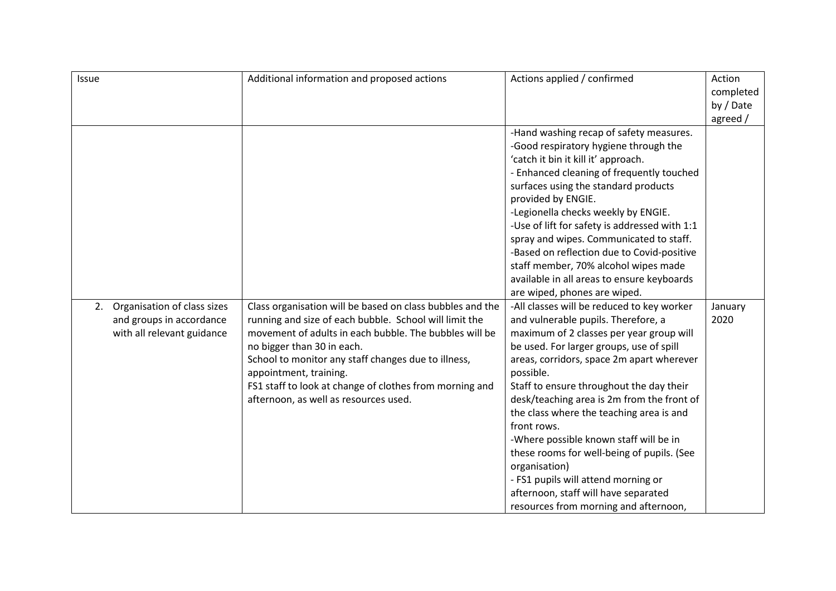|                                                                                                                                                                                                                                                                                                                                                                                                                                                                                                                                                                                                                                                                                                                                                                                                                                                                                                                                                                                                                                                                                  | by / Date<br>agreed /                 |
|----------------------------------------------------------------------------------------------------------------------------------------------------------------------------------------------------------------------------------------------------------------------------------------------------------------------------------------------------------------------------------------------------------------------------------------------------------------------------------------------------------------------------------------------------------------------------------------------------------------------------------------------------------------------------------------------------------------------------------------------------------------------------------------------------------------------------------------------------------------------------------------------------------------------------------------------------------------------------------------------------------------------------------------------------------------------------------|---------------------------------------|
| -Hand washing recap of safety measures.<br>-Good respiratory hygiene through the<br>'catch it bin it kill it' approach.<br>- Enhanced cleaning of frequently touched<br>surfaces using the standard products<br>provided by ENGIE.<br>-Legionella checks weekly by ENGIE.<br>-Use of lift for safety is addressed with 1:1<br>spray and wipes. Communicated to staff.<br>-Based on reflection due to Covid-positive<br>staff member, 70% alcohol wipes made<br>available in all areas to ensure keyboards<br>are wiped, phones are wiped.<br>-All classes will be reduced to key worker<br>and vulnerable pupils. Therefore, a<br>maximum of 2 classes per year group will<br>be used. For larger groups, use of spill<br>areas, corridors, space 2m apart wherever<br>Staff to ensure throughout the day their<br>desk/teaching area is 2m from the front of<br>the class where the teaching area is and<br>-Where possible known staff will be in<br>these rooms for well-being of pupils. (See<br>- FS1 pupils will attend morning or<br>afternoon, staff will have separated | January<br>2020                       |
|                                                                                                                                                                                                                                                                                                                                                                                                                                                                                                                                                                                                                                                                                                                                                                                                                                                                                                                                                                                                                                                                                  | resources from morning and afternoon, |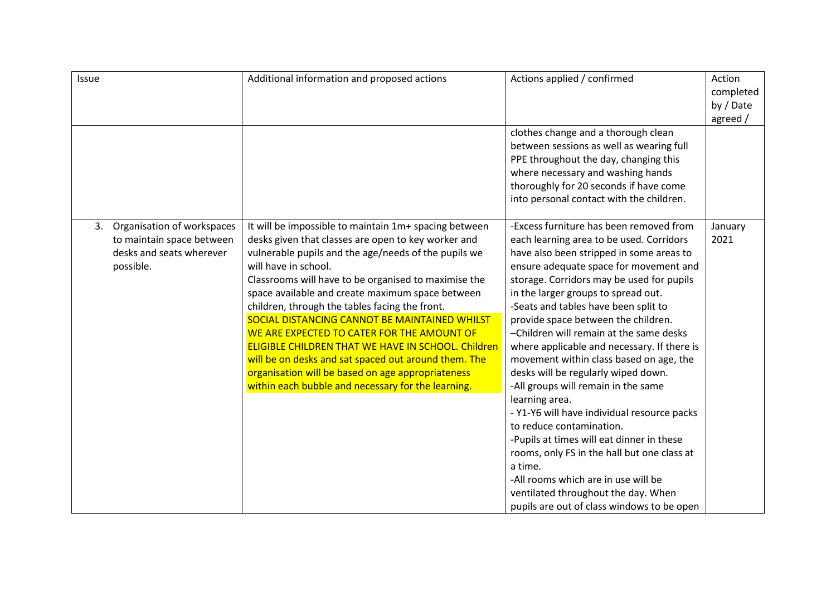| Issue                                                                                                  | Additional information and proposed actions                                                                                                                                                                                                                                                                                                                                                                                                                                                                                                                                                                                                                                               | Actions applied / confirmed                                                                                                                                                                                                                                                                                                                                                                                                                                                                                                                                                                                                                                                                                                                                                                                                                                                                     | Action<br>completed<br>by / Date<br>agreed / |
|--------------------------------------------------------------------------------------------------------|-------------------------------------------------------------------------------------------------------------------------------------------------------------------------------------------------------------------------------------------------------------------------------------------------------------------------------------------------------------------------------------------------------------------------------------------------------------------------------------------------------------------------------------------------------------------------------------------------------------------------------------------------------------------------------------------|-------------------------------------------------------------------------------------------------------------------------------------------------------------------------------------------------------------------------------------------------------------------------------------------------------------------------------------------------------------------------------------------------------------------------------------------------------------------------------------------------------------------------------------------------------------------------------------------------------------------------------------------------------------------------------------------------------------------------------------------------------------------------------------------------------------------------------------------------------------------------------------------------|----------------------------------------------|
|                                                                                                        |                                                                                                                                                                                                                                                                                                                                                                                                                                                                                                                                                                                                                                                                                           | clothes change and a thorough clean<br>between sessions as well as wearing full<br>PPE throughout the day, changing this<br>where necessary and washing hands<br>thoroughly for 20 seconds if have come<br>into personal contact with the children.                                                                                                                                                                                                                                                                                                                                                                                                                                                                                                                                                                                                                                             |                                              |
| Organisation of workspaces<br>3.<br>to maintain space between<br>desks and seats wherever<br>possible. | It will be impossible to maintain 1m+ spacing between<br>desks given that classes are open to key worker and<br>vulnerable pupils and the age/needs of the pupils we<br>will have in school.<br>Classrooms will have to be organised to maximise the<br>space available and create maximum space between<br>children, through the tables facing the front.<br>SOCIAL DISTANCING CANNOT BE MAINTAINED WHILST<br>WE ARE EXPECTED TO CATER FOR THE AMOUNT OF<br><b>ELIGIBLE CHILDREN THAT WE HAVE IN SCHOOL. Children</b><br>will be on desks and sat spaced out around them. The<br>organisation will be based on age appropriateness<br>within each bubble and necessary for the learning. | -Excess furniture has been removed from<br>each learning area to be used. Corridors<br>have also been stripped in some areas to<br>ensure adequate space for movement and<br>storage. Corridors may be used for pupils<br>in the larger groups to spread out.<br>-Seats and tables have been split to<br>provide space between the children.<br>-Children will remain at the same desks<br>where applicable and necessary. If there is<br>movement within class based on age, the<br>desks will be regularly wiped down.<br>-All groups will remain in the same<br>learning area.<br>- Y1-Y6 will have individual resource packs<br>to reduce contamination.<br>-Pupils at times will eat dinner in these<br>rooms, only FS in the hall but one class at<br>a time.<br>-All rooms which are in use will be<br>ventilated throughout the day. When<br>pupils are out of class windows to be open | January<br>2021                              |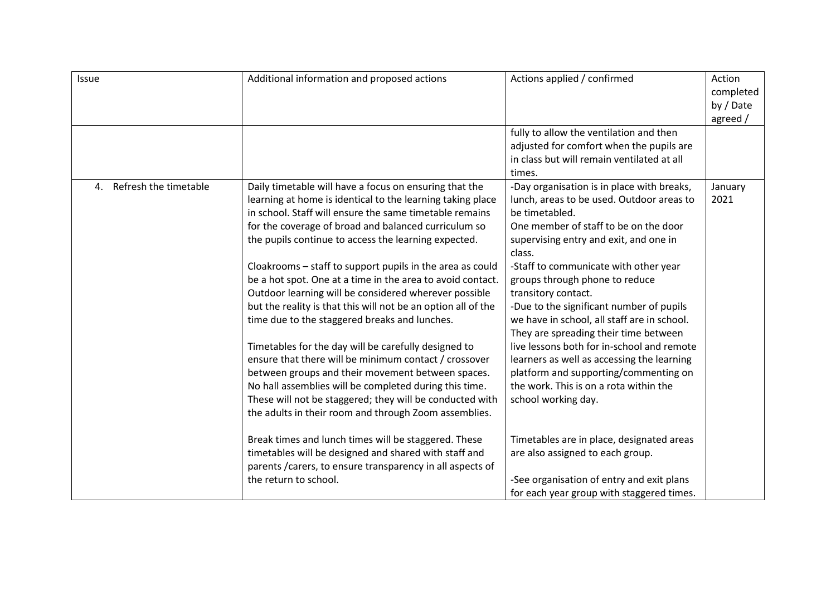| <b>Issue</b>                | Additional information and proposed actions                                                                                                                                                                                                                                                                                                                                                                                                                                                                                                                                                                                                                                                                                                                                                                                                                                                                                                                | Actions applied / confirmed                                                                                                                                                                                                                                                                                                                                                                                                                                                                                                                                                                                                                        | Action<br>completed<br>by / Date<br>agreed / |
|-----------------------------|------------------------------------------------------------------------------------------------------------------------------------------------------------------------------------------------------------------------------------------------------------------------------------------------------------------------------------------------------------------------------------------------------------------------------------------------------------------------------------------------------------------------------------------------------------------------------------------------------------------------------------------------------------------------------------------------------------------------------------------------------------------------------------------------------------------------------------------------------------------------------------------------------------------------------------------------------------|----------------------------------------------------------------------------------------------------------------------------------------------------------------------------------------------------------------------------------------------------------------------------------------------------------------------------------------------------------------------------------------------------------------------------------------------------------------------------------------------------------------------------------------------------------------------------------------------------------------------------------------------------|----------------------------------------------|
|                             |                                                                                                                                                                                                                                                                                                                                                                                                                                                                                                                                                                                                                                                                                                                                                                                                                                                                                                                                                            | fully to allow the ventilation and then<br>adjusted for comfort when the pupils are<br>in class but will remain ventilated at all<br>times.                                                                                                                                                                                                                                                                                                                                                                                                                                                                                                        |                                              |
| Refresh the timetable<br>4. | Daily timetable will have a focus on ensuring that the<br>learning at home is identical to the learning taking place<br>in school. Staff will ensure the same timetable remains<br>for the coverage of broad and balanced curriculum so<br>the pupils continue to access the learning expected.<br>Cloakrooms - staff to support pupils in the area as could<br>be a hot spot. One at a time in the area to avoid contact.<br>Outdoor learning will be considered wherever possible<br>but the reality is that this will not be an option all of the<br>time due to the staggered breaks and lunches.<br>Timetables for the day will be carefully designed to<br>ensure that there will be minimum contact / crossover<br>between groups and their movement between spaces.<br>No hall assemblies will be completed during this time.<br>These will not be staggered; they will be conducted with<br>the adults in their room and through Zoom assemblies. | -Day organisation is in place with breaks,<br>lunch, areas to be used. Outdoor areas to<br>be timetabled.<br>One member of staff to be on the door<br>supervising entry and exit, and one in<br>class.<br>-Staff to communicate with other year<br>groups through phone to reduce<br>transitory contact.<br>-Due to the significant number of pupils<br>we have in school, all staff are in school.<br>They are spreading their time between<br>live lessons both for in-school and remote<br>learners as well as accessing the learning<br>platform and supporting/commenting on<br>the work. This is on a rota within the<br>school working day. | January<br>2021                              |
|                             | Break times and lunch times will be staggered. These<br>timetables will be designed and shared with staff and<br>parents / carers, to ensure transparency in all aspects of<br>the return to school.                                                                                                                                                                                                                                                                                                                                                                                                                                                                                                                                                                                                                                                                                                                                                       | Timetables are in place, designated areas<br>are also assigned to each group.<br>-See organisation of entry and exit plans<br>for each year group with staggered times.                                                                                                                                                                                                                                                                                                                                                                                                                                                                            |                                              |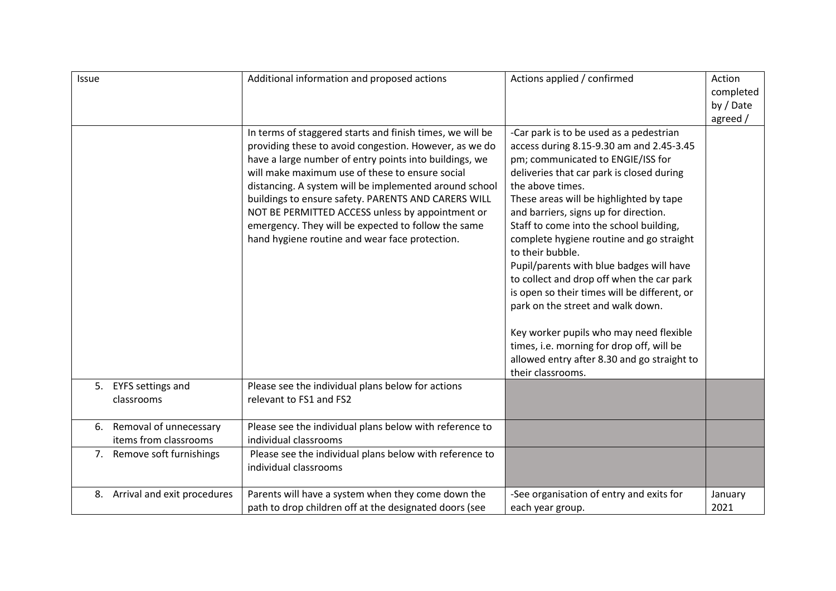| Issue |                                                    | Additional information and proposed actions                                                                                                                                                                                                                                                                                                                                                                                                                                                                    | Actions applied / confirmed                                                                                                                                                                                                                                                                                                                                                                                                                                                                                                                                                                                                                                                                                                        | Action<br>completed<br>by / Date<br>agreed / |
|-------|----------------------------------------------------|----------------------------------------------------------------------------------------------------------------------------------------------------------------------------------------------------------------------------------------------------------------------------------------------------------------------------------------------------------------------------------------------------------------------------------------------------------------------------------------------------------------|------------------------------------------------------------------------------------------------------------------------------------------------------------------------------------------------------------------------------------------------------------------------------------------------------------------------------------------------------------------------------------------------------------------------------------------------------------------------------------------------------------------------------------------------------------------------------------------------------------------------------------------------------------------------------------------------------------------------------------|----------------------------------------------|
|       |                                                    | In terms of staggered starts and finish times, we will be<br>providing these to avoid congestion. However, as we do<br>have a large number of entry points into buildings, we<br>will make maximum use of these to ensure social<br>distancing. A system will be implemented around school<br>buildings to ensure safety. PARENTS AND CARERS WILL<br>NOT BE PERMITTED ACCESS unless by appointment or<br>emergency. They will be expected to follow the same<br>hand hygiene routine and wear face protection. | -Car park is to be used as a pedestrian<br>access during 8.15-9.30 am and 2.45-3.45<br>pm; communicated to ENGIE/ISS for<br>deliveries that car park is closed during<br>the above times.<br>These areas will be highlighted by tape<br>and barriers, signs up for direction.<br>Staff to come into the school building,<br>complete hygiene routine and go straight<br>to their bubble.<br>Pupil/parents with blue badges will have<br>to collect and drop off when the car park<br>is open so their times will be different, or<br>park on the street and walk down.<br>Key worker pupils who may need flexible<br>times, i.e. morning for drop off, will be<br>allowed entry after 8.30 and go straight to<br>their classrooms. |                                              |
|       | 5. EYFS settings and<br>classrooms                 | Please see the individual plans below for actions<br>relevant to FS1 and FS2                                                                                                                                                                                                                                                                                                                                                                                                                                   |                                                                                                                                                                                                                                                                                                                                                                                                                                                                                                                                                                                                                                                                                                                                    |                                              |
|       | 6. Removal of unnecessary<br>items from classrooms | Please see the individual plans below with reference to<br>individual classrooms                                                                                                                                                                                                                                                                                                                                                                                                                               |                                                                                                                                                                                                                                                                                                                                                                                                                                                                                                                                                                                                                                                                                                                                    |                                              |
|       | 7. Remove soft furnishings                         | Please see the individual plans below with reference to<br>individual classrooms                                                                                                                                                                                                                                                                                                                                                                                                                               |                                                                                                                                                                                                                                                                                                                                                                                                                                                                                                                                                                                                                                                                                                                                    |                                              |
|       | 8. Arrival and exit procedures                     | Parents will have a system when they come down the<br>path to drop children off at the designated doors (see                                                                                                                                                                                                                                                                                                                                                                                                   | -See organisation of entry and exits for<br>each year group.                                                                                                                                                                                                                                                                                                                                                                                                                                                                                                                                                                                                                                                                       | January<br>2021                              |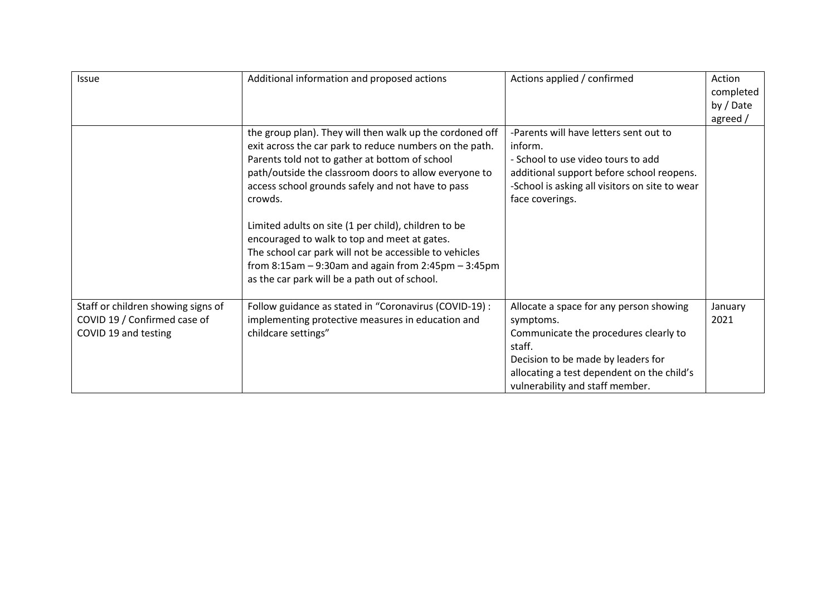| <b>Issue</b>                                                                               | Additional information and proposed actions                                                                                                                                                                                                                                                                                                                                                                                                                                                                                                                                        | Actions applied / confirmed                                                                                                                                                                                                    | Action<br>completed<br>by / Date<br>agreed / |
|--------------------------------------------------------------------------------------------|------------------------------------------------------------------------------------------------------------------------------------------------------------------------------------------------------------------------------------------------------------------------------------------------------------------------------------------------------------------------------------------------------------------------------------------------------------------------------------------------------------------------------------------------------------------------------------|--------------------------------------------------------------------------------------------------------------------------------------------------------------------------------------------------------------------------------|----------------------------------------------|
|                                                                                            | the group plan). They will then walk up the cordoned off<br>exit across the car park to reduce numbers on the path.<br>Parents told not to gather at bottom of school<br>path/outside the classroom doors to allow everyone to<br>access school grounds safely and not have to pass<br>crowds.<br>Limited adults on site (1 per child), children to be<br>encouraged to walk to top and meet at gates.<br>The school car park will not be accessible to vehicles<br>from $8:15$ am $-9:30$ am and again from $2:45$ pm $-3:45$ pm<br>as the car park will be a path out of school. | -Parents will have letters sent out to<br>inform.<br>- School to use video tours to add<br>additional support before school reopens.<br>-School is asking all visitors on site to wear<br>face coverings.                      |                                              |
| Staff or children showing signs of<br>COVID 19 / Confirmed case of<br>COVID 19 and testing | Follow guidance as stated in "Coronavirus (COVID-19) :<br>implementing protective measures in education and<br>childcare settings"                                                                                                                                                                                                                                                                                                                                                                                                                                                 | Allocate a space for any person showing<br>symptoms.<br>Communicate the procedures clearly to<br>staff.<br>Decision to be made by leaders for<br>allocating a test dependent on the child's<br>vulnerability and staff member. | January<br>2021                              |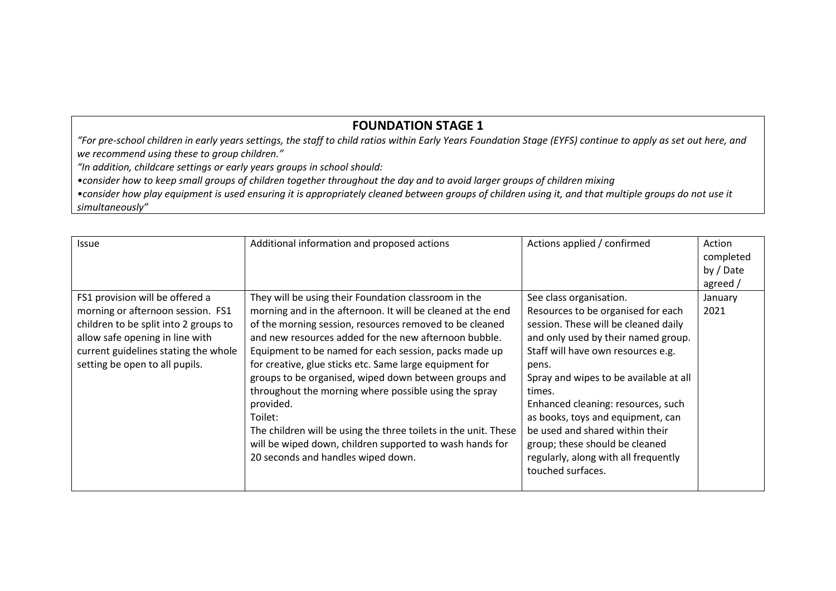### **FOUNDATION STAGE 1**

*"For pre-school children in early years settings, the staff to child ratios within Early Years Foundation Stage (EYFS) continue to apply as set out here, and we recommend using these to group children."*

*"In addition, childcare settings or early years groups in school should:* 

*•consider how to keep small groups of children together throughout the day and to avoid larger groups of children mixing*

• consider how play equipment is used ensuring it is appropriately cleaned between groups of children using it, and that multiple groups do not use it *simultaneously"*

| <b>Issue</b>                                                                                                                                                                                                               | Additional information and proposed actions                                                                                                                                                                                                                                                                                                                                                                                                                                                                                                                                                                                                                                | Actions applied / confirmed                                                                                                                                                                                                                                                                                                                                                                                                                                  | Action<br>completed<br>by / Date |
|----------------------------------------------------------------------------------------------------------------------------------------------------------------------------------------------------------------------------|----------------------------------------------------------------------------------------------------------------------------------------------------------------------------------------------------------------------------------------------------------------------------------------------------------------------------------------------------------------------------------------------------------------------------------------------------------------------------------------------------------------------------------------------------------------------------------------------------------------------------------------------------------------------------|--------------------------------------------------------------------------------------------------------------------------------------------------------------------------------------------------------------------------------------------------------------------------------------------------------------------------------------------------------------------------------------------------------------------------------------------------------------|----------------------------------|
| FS1 provision will be offered a<br>morning or afternoon session. FS1<br>children to be split into 2 groups to<br>allow safe opening in line with<br>current guidelines stating the whole<br>setting be open to all pupils. | They will be using their Foundation classroom in the<br>morning and in the afternoon. It will be cleaned at the end<br>of the morning session, resources removed to be cleaned<br>and new resources added for the new afternoon bubble.<br>Equipment to be named for each session, packs made up<br>for creative, glue sticks etc. Same large equipment for<br>groups to be organised, wiped down between groups and<br>throughout the morning where possible using the spray<br>provided.<br>Toilet:<br>The children will be using the three toilets in the unit. These<br>will be wiped down, children supported to wash hands for<br>20 seconds and handles wiped down. | See class organisation.<br>Resources to be organised for each<br>session. These will be cleaned daily<br>and only used by their named group.<br>Staff will have own resources e.g.<br>pens.<br>Spray and wipes to be available at all<br>times.<br>Enhanced cleaning: resources, such<br>as books, toys and equipment, can<br>be used and shared within their<br>group; these should be cleaned<br>regularly, along with all frequently<br>touched surfaces. | agreed /<br>January<br>2021      |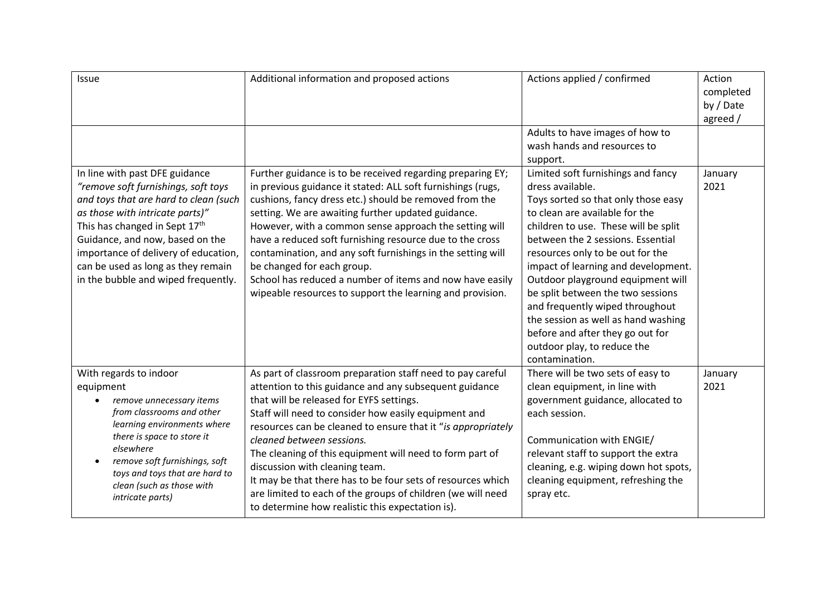| Issue                                                                                                                                                                                                                                                                                                                                      | Additional information and proposed actions                                                                                                                                                                                                                                                                                                                                                                                                                                                                                                                                                           | Actions applied / confirmed                                                                                                                                                                                                                                                                                                                                                                                                                                                                                                      | Action<br>completed<br>by / Date<br>agreed / |
|--------------------------------------------------------------------------------------------------------------------------------------------------------------------------------------------------------------------------------------------------------------------------------------------------------------------------------------------|-------------------------------------------------------------------------------------------------------------------------------------------------------------------------------------------------------------------------------------------------------------------------------------------------------------------------------------------------------------------------------------------------------------------------------------------------------------------------------------------------------------------------------------------------------------------------------------------------------|----------------------------------------------------------------------------------------------------------------------------------------------------------------------------------------------------------------------------------------------------------------------------------------------------------------------------------------------------------------------------------------------------------------------------------------------------------------------------------------------------------------------------------|----------------------------------------------|
|                                                                                                                                                                                                                                                                                                                                            |                                                                                                                                                                                                                                                                                                                                                                                                                                                                                                                                                                                                       | Adults to have images of how to<br>wash hands and resources to<br>support.                                                                                                                                                                                                                                                                                                                                                                                                                                                       |                                              |
| In line with past DFE guidance<br>"remove soft furnishings, soft toys<br>and toys that are hard to clean (such<br>as those with intricate parts)"<br>This has changed in Sept 17th<br>Guidance, and now, based on the<br>importance of delivery of education,<br>can be used as long as they remain<br>in the bubble and wiped frequently. | Further guidance is to be received regarding preparing EY;<br>in previous guidance it stated: ALL soft furnishings (rugs,<br>cushions, fancy dress etc.) should be removed from the<br>setting. We are awaiting further updated guidance.<br>However, with a common sense approach the setting will<br>have a reduced soft furnishing resource due to the cross<br>contamination, and any soft furnishings in the setting will<br>be changed for each group.<br>School has reduced a number of items and now have easily<br>wipeable resources to support the learning and provision.                 | Limited soft furnishings and fancy<br>dress available.<br>Toys sorted so that only those easy<br>to clean are available for the<br>children to use. These will be split<br>between the 2 sessions. Essential<br>resources only to be out for the<br>impact of learning and development.<br>Outdoor playground equipment will<br>be split between the two sessions<br>and frequently wiped throughout<br>the session as well as hand washing<br>before and after they go out for<br>outdoor play, to reduce the<br>contamination. | January<br>2021                              |
| With regards to indoor<br>equipment<br>remove unnecessary items<br>from classrooms and other<br>learning environments where<br>there is space to store it<br>elsewhere<br>remove soft furnishings, soft<br>toys and toys that are hard to<br>clean (such as those with<br>intricate parts)                                                 | As part of classroom preparation staff need to pay careful<br>attention to this guidance and any subsequent guidance<br>that will be released for EYFS settings.<br>Staff will need to consider how easily equipment and<br>resources can be cleaned to ensure that it "is appropriately<br>cleaned between sessions.<br>The cleaning of this equipment will need to form part of<br>discussion with cleaning team.<br>It may be that there has to be four sets of resources which<br>are limited to each of the groups of children (we will need<br>to determine how realistic this expectation is). | There will be two sets of easy to<br>clean equipment, in line with<br>government guidance, allocated to<br>each session.<br>Communication with ENGIE/<br>relevant staff to support the extra<br>cleaning, e.g. wiping down hot spots,<br>cleaning equipment, refreshing the<br>spray etc.                                                                                                                                                                                                                                        | January<br>2021                              |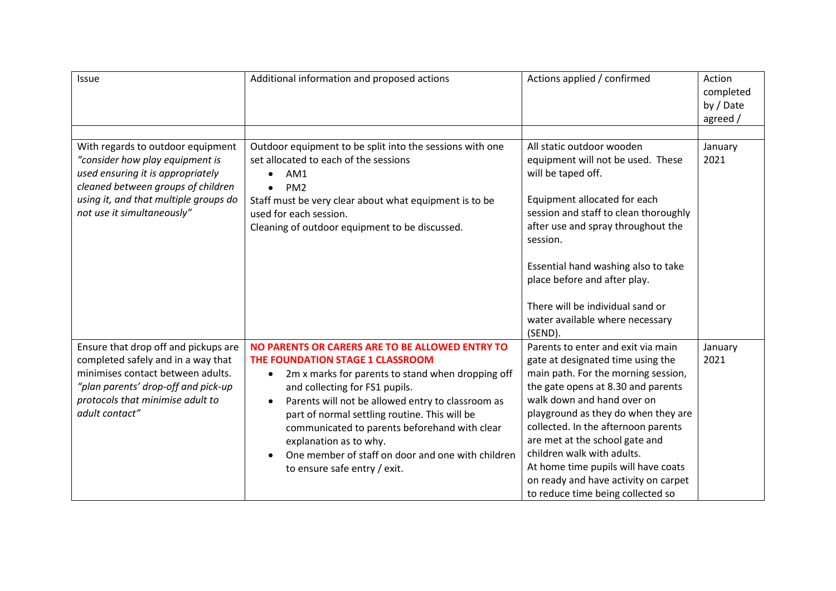| <b>Issue</b>                                                                                                                                                                                                           | Additional information and proposed actions                                                                                                                                                                                                                                                                                                                                                                                                                                | Actions applied / confirmed                                                                                                                                                                                                                                                                                                                                                                                                                          | Action<br>completed<br>by / Date<br>agreed / |
|------------------------------------------------------------------------------------------------------------------------------------------------------------------------------------------------------------------------|----------------------------------------------------------------------------------------------------------------------------------------------------------------------------------------------------------------------------------------------------------------------------------------------------------------------------------------------------------------------------------------------------------------------------------------------------------------------------|------------------------------------------------------------------------------------------------------------------------------------------------------------------------------------------------------------------------------------------------------------------------------------------------------------------------------------------------------------------------------------------------------------------------------------------------------|----------------------------------------------|
|                                                                                                                                                                                                                        |                                                                                                                                                                                                                                                                                                                                                                                                                                                                            |                                                                                                                                                                                                                                                                                                                                                                                                                                                      |                                              |
| With regards to outdoor equipment<br>"consider how play equipment is<br>used ensuring it is appropriately<br>cleaned between groups of children<br>using it, and that multiple groups do<br>not use it simultaneously" | Outdoor equipment to be split into the sessions with one<br>set allocated to each of the sessions<br>AM1<br>PM <sub>2</sub><br>$\bullet$<br>Staff must be very clear about what equipment is to be<br>used for each session.<br>Cleaning of outdoor equipment to be discussed.                                                                                                                                                                                             | All static outdoor wooden<br>equipment will not be used. These<br>will be taped off.<br>Equipment allocated for each<br>session and staff to clean thoroughly<br>after use and spray throughout the<br>session.<br>Essential hand washing also to take<br>place before and after play.<br>There will be individual sand or<br>water available where necessary<br>(SEND).                                                                             | January<br>2021                              |
| Ensure that drop off and pickups are<br>completed safely and in a way that<br>minimises contact between adults.<br>"plan parents' drop-off and pick-up<br>protocols that minimise adult to<br>adult contact"           | NO PARENTS OR CARERS ARE TO BE ALLOWED ENTRY TO<br>THE FOUNDATION STAGE 1 CLASSROOM<br>2m x marks for parents to stand when dropping off<br>$\bullet$<br>and collecting for FS1 pupils.<br>Parents will not be allowed entry to classroom as<br>$\bullet$<br>part of normal settling routine. This will be<br>communicated to parents beforehand with clear<br>explanation as to why.<br>One member of staff on door and one with children<br>to ensure safe entry / exit. | Parents to enter and exit via main<br>gate at designated time using the<br>main path. For the morning session,<br>the gate opens at 8.30 and parents<br>walk down and hand over on<br>playground as they do when they are<br>collected. In the afternoon parents<br>are met at the school gate and<br>children walk with adults.<br>At home time pupils will have coats<br>on ready and have activity on carpet<br>to reduce time being collected so | January<br>2021                              |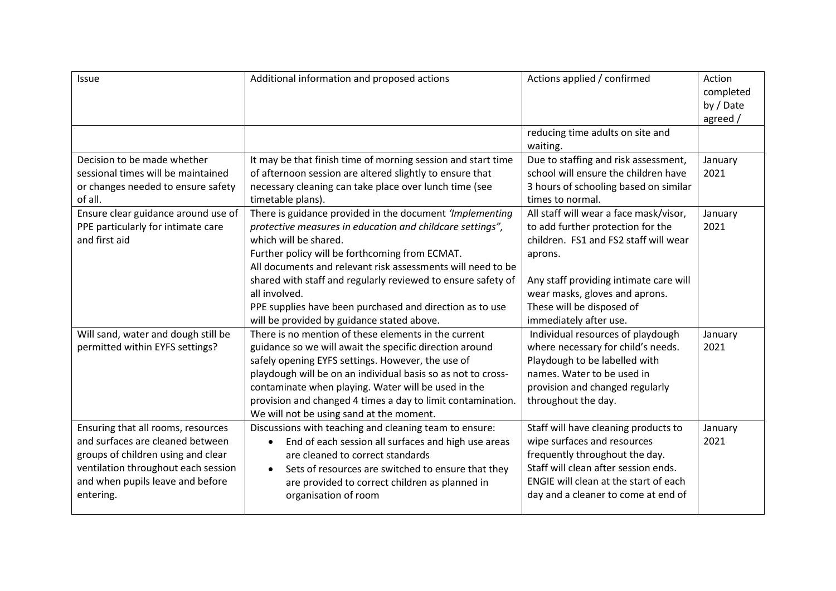| Issue                                                                                                                                                                                                | Additional information and proposed actions                                                                                                                                                                                                                                                                                                                                                                                                                | Actions applied / confirmed                                                                                                                                                                                                                                        | Action<br>completed<br>by / Date<br>agreed / |
|------------------------------------------------------------------------------------------------------------------------------------------------------------------------------------------------------|------------------------------------------------------------------------------------------------------------------------------------------------------------------------------------------------------------------------------------------------------------------------------------------------------------------------------------------------------------------------------------------------------------------------------------------------------------|--------------------------------------------------------------------------------------------------------------------------------------------------------------------------------------------------------------------------------------------------------------------|----------------------------------------------|
|                                                                                                                                                                                                      |                                                                                                                                                                                                                                                                                                                                                                                                                                                            | reducing time adults on site and<br>waiting.                                                                                                                                                                                                                       |                                              |
| Decision to be made whether<br>sessional times will be maintained<br>or changes needed to ensure safety<br>of all.                                                                                   | It may be that finish time of morning session and start time<br>of afternoon session are altered slightly to ensure that<br>necessary cleaning can take place over lunch time (see<br>timetable plans).                                                                                                                                                                                                                                                    | Due to staffing and risk assessment,<br>school will ensure the children have<br>3 hours of schooling based on similar<br>times to normal.                                                                                                                          | January<br>2021                              |
| Ensure clear guidance around use of<br>PPE particularly for intimate care<br>and first aid                                                                                                           | There is guidance provided in the document 'Implementing<br>protective measures in education and childcare settings",<br>which will be shared.<br>Further policy will be forthcoming from ECMAT.<br>All documents and relevant risk assessments will need to be<br>shared with staff and regularly reviewed to ensure safety of<br>all involved.<br>PPE supplies have been purchased and direction as to use<br>will be provided by guidance stated above. | All staff will wear a face mask/visor,<br>to add further protection for the<br>children. FS1 and FS2 staff will wear<br>aprons.<br>Any staff providing intimate care will<br>wear masks, gloves and aprons.<br>These will be disposed of<br>immediately after use. | January<br>2021                              |
| Will sand, water and dough still be<br>permitted within EYFS settings?                                                                                                                               | There is no mention of these elements in the current<br>guidance so we will await the specific direction around<br>safely opening EYFS settings. However, the use of<br>playdough will be on an individual basis so as not to cross-<br>contaminate when playing. Water will be used in the<br>provision and changed 4 times a day to limit contamination.<br>We will not be using sand at the moment.                                                     | Individual resources of playdough<br>where necessary for child's needs.<br>Playdough to be labelled with<br>names. Water to be used in<br>provision and changed regularly<br>throughout the day.                                                                   | January<br>2021                              |
| Ensuring that all rooms, resources<br>and surfaces are cleaned between<br>groups of children using and clear<br>ventilation throughout each session<br>and when pupils leave and before<br>entering. | Discussions with teaching and cleaning team to ensure:<br>End of each session all surfaces and high use areas<br>$\bullet$<br>are cleaned to correct standards<br>Sets of resources are switched to ensure that they<br>$\bullet$<br>are provided to correct children as planned in<br>organisation of room                                                                                                                                                | Staff will have cleaning products to<br>wipe surfaces and resources<br>frequently throughout the day.<br>Staff will clean after session ends.<br>ENGIE will clean at the start of each<br>day and a cleaner to come at end of                                      | January<br>2021                              |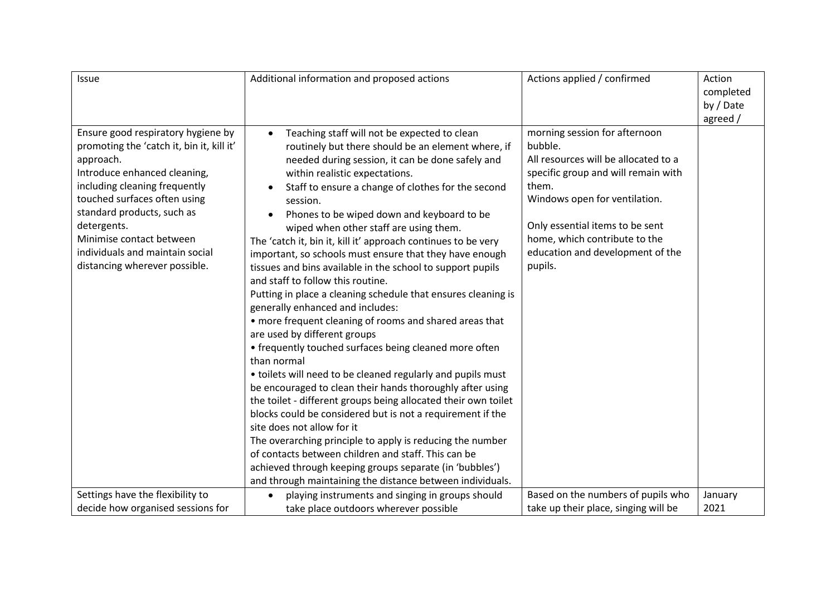| Issue                                                                                                                                                                                                                                                                                                                                      | Additional information and proposed actions                                                                                                                                                                                                                                                                                                                                                                                                                                                                                                                                                                                                                                                                                                                                                                                                                                                                                                                                                                                                                                                                                                                                                                                                                                                                                                                                                                                | Actions applied / confirmed                                                                                                                                                                                                                                                          | Action<br>completed<br>by / Date<br>agreed / |
|--------------------------------------------------------------------------------------------------------------------------------------------------------------------------------------------------------------------------------------------------------------------------------------------------------------------------------------------|----------------------------------------------------------------------------------------------------------------------------------------------------------------------------------------------------------------------------------------------------------------------------------------------------------------------------------------------------------------------------------------------------------------------------------------------------------------------------------------------------------------------------------------------------------------------------------------------------------------------------------------------------------------------------------------------------------------------------------------------------------------------------------------------------------------------------------------------------------------------------------------------------------------------------------------------------------------------------------------------------------------------------------------------------------------------------------------------------------------------------------------------------------------------------------------------------------------------------------------------------------------------------------------------------------------------------------------------------------------------------------------------------------------------------|--------------------------------------------------------------------------------------------------------------------------------------------------------------------------------------------------------------------------------------------------------------------------------------|----------------------------------------------|
| Ensure good respiratory hygiene by<br>promoting the 'catch it, bin it, kill it'<br>approach.<br>Introduce enhanced cleaning,<br>including cleaning frequently<br>touched surfaces often using<br>standard products, such as<br>detergents.<br>Minimise contact between<br>individuals and maintain social<br>distancing wherever possible. | Teaching staff will not be expected to clean<br>$\bullet$<br>routinely but there should be an element where, if<br>needed during session, it can be done safely and<br>within realistic expectations.<br>Staff to ensure a change of clothes for the second<br>session.<br>Phones to be wiped down and keyboard to be<br>$\bullet$<br>wiped when other staff are using them.<br>The 'catch it, bin it, kill it' approach continues to be very<br>important, so schools must ensure that they have enough<br>tissues and bins available in the school to support pupils<br>and staff to follow this routine.<br>Putting in place a cleaning schedule that ensures cleaning is<br>generally enhanced and includes:<br>• more frequent cleaning of rooms and shared areas that<br>are used by different groups<br>• frequently touched surfaces being cleaned more often<br>than normal<br>• toilets will need to be cleaned regularly and pupils must<br>be encouraged to clean their hands thoroughly after using<br>the toilet - different groups being allocated their own toilet<br>blocks could be considered but is not a requirement if the<br>site does not allow for it<br>The overarching principle to apply is reducing the number<br>of contacts between children and staff. This can be<br>achieved through keeping groups separate (in 'bubbles')<br>and through maintaining the distance between individuals. | morning session for afternoon<br>bubble.<br>All resources will be allocated to a<br>specific group and will remain with<br>them.<br>Windows open for ventilation.<br>Only essential items to be sent<br>home, which contribute to the<br>education and development of the<br>pupils. |                                              |
| Settings have the flexibility to                                                                                                                                                                                                                                                                                                           | playing instruments and singing in groups should                                                                                                                                                                                                                                                                                                                                                                                                                                                                                                                                                                                                                                                                                                                                                                                                                                                                                                                                                                                                                                                                                                                                                                                                                                                                                                                                                                           | Based on the numbers of pupils who                                                                                                                                                                                                                                                   | January                                      |
| decide how organised sessions for                                                                                                                                                                                                                                                                                                          | take place outdoors wherever possible                                                                                                                                                                                                                                                                                                                                                                                                                                                                                                                                                                                                                                                                                                                                                                                                                                                                                                                                                                                                                                                                                                                                                                                                                                                                                                                                                                                      | take up their place, singing will be                                                                                                                                                                                                                                                 | 2021                                         |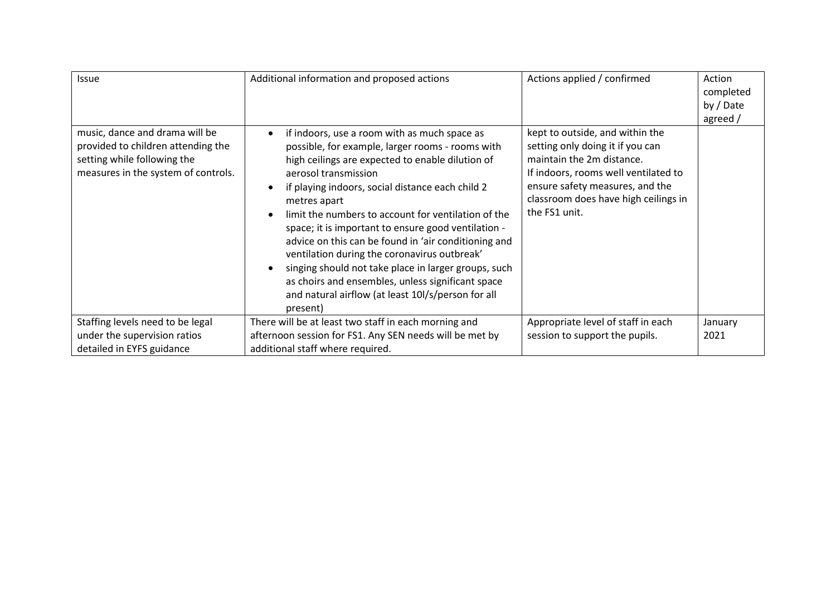| Issue                                                                                                                                      | Additional information and proposed actions                                                                                                                                                                                                                                                                                                                                                                                                                                                                                                                                                                                                                                                  | Actions applied / confirmed                                                                                                                                                                                                          | Action<br>completed<br>by / Date<br>agreed / |
|--------------------------------------------------------------------------------------------------------------------------------------------|----------------------------------------------------------------------------------------------------------------------------------------------------------------------------------------------------------------------------------------------------------------------------------------------------------------------------------------------------------------------------------------------------------------------------------------------------------------------------------------------------------------------------------------------------------------------------------------------------------------------------------------------------------------------------------------------|--------------------------------------------------------------------------------------------------------------------------------------------------------------------------------------------------------------------------------------|----------------------------------------------|
| music, dance and drama will be<br>provided to children attending the<br>setting while following the<br>measures in the system of controls. | if indoors, use a room with as much space as<br>$\bullet$<br>possible, for example, larger rooms - rooms with<br>high ceilings are expected to enable dilution of<br>aerosol transmission<br>if playing indoors, social distance each child 2<br>metres apart<br>limit the numbers to account for ventilation of the<br>$\bullet$<br>space; it is important to ensure good ventilation -<br>advice on this can be found in 'air conditioning and<br>ventilation during the coronavirus outbreak'<br>singing should not take place in larger groups, such<br>$\bullet$<br>as choirs and ensembles, unless significant space<br>and natural airflow (at least 10l/s/person for all<br>present) | kept to outside, and within the<br>setting only doing it if you can<br>maintain the 2m distance.<br>If indoors, rooms well ventilated to<br>ensure safety measures, and the<br>classroom does have high ceilings in<br>the FS1 unit. |                                              |
| Staffing levels need to be legal                                                                                                           | There will be at least two staff in each morning and                                                                                                                                                                                                                                                                                                                                                                                                                                                                                                                                                                                                                                         | Appropriate level of staff in each                                                                                                                                                                                                   | January                                      |
| under the supervision ratios                                                                                                               | afternoon session for FS1. Any SEN needs will be met by                                                                                                                                                                                                                                                                                                                                                                                                                                                                                                                                                                                                                                      | session to support the pupils.                                                                                                                                                                                                       | 2021                                         |
| detailed in EYFS guidance                                                                                                                  | additional staff where required.                                                                                                                                                                                                                                                                                                                                                                                                                                                                                                                                                                                                                                                             |                                                                                                                                                                                                                                      |                                              |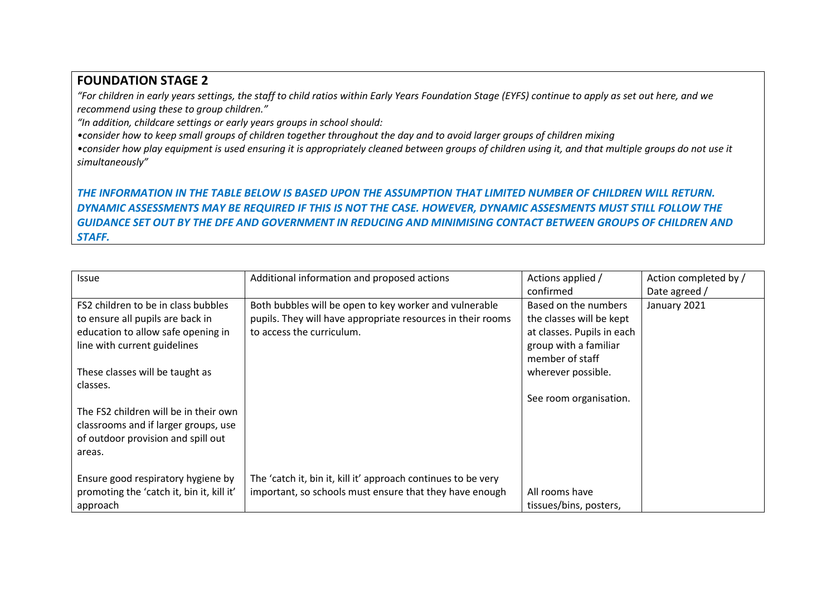### **FOUNDATION STAGE 2**

*"For children in early years settings, the staff to child ratios within Early Years Foundation Stage (EYFS) continue to apply as set out here, and we recommend using these to group children."*

*"In addition, childcare settings or early years groups in school should:* 

*•consider how to keep small groups of children together throughout the day and to avoid larger groups of children mixing*

•consider how play equipment is used ensuring it is appropriately cleaned between groups of children using it, and that multiple groups do not use it *simultaneously"*

### *THE INFORMATION IN THE TABLE BELOW IS BASED UPON THE ASSUMPTION THAT LIMITED NUMBER OF CHILDREN WILL RETURN. DYNAMIC ASSESSMENTS MAY BE REQUIRED IF THIS IS NOT THE CASE. HOWEVER, DYNAMIC ASSESMENTS MUST STILL FOLLOW THE GUIDANCE SET OUT BY THE DFE AND GOVERNMENT IN REDUCING AND MINIMISING CONTACT BETWEEN GROUPS OF CHILDREN AND STAFF.*

| <b>Issue</b>                              | Additional information and proposed actions                   | Actions applied /          | Action completed by / |
|-------------------------------------------|---------------------------------------------------------------|----------------------------|-----------------------|
|                                           |                                                               | confirmed                  | Date agreed /         |
| FS2 children to be in class bubbles       | Both bubbles will be open to key worker and vulnerable        | Based on the numbers       | January 2021          |
| to ensure all pupils are back in          | pupils. They will have appropriate resources in their rooms   | the classes will be kept   |                       |
| education to allow safe opening in        | to access the curriculum.                                     | at classes. Pupils in each |                       |
| line with current guidelines              |                                                               | group with a familiar      |                       |
|                                           |                                                               | member of staff            |                       |
| These classes will be taught as           |                                                               | wherever possible.         |                       |
| classes.                                  |                                                               |                            |                       |
|                                           |                                                               | See room organisation.     |                       |
| The FS2 children will be in their own     |                                                               |                            |                       |
| classrooms and if larger groups, use      |                                                               |                            |                       |
| of outdoor provision and spill out        |                                                               |                            |                       |
| areas.                                    |                                                               |                            |                       |
|                                           |                                                               |                            |                       |
| Ensure good respiratory hygiene by        | The 'catch it, bin it, kill it' approach continues to be very |                            |                       |
| promoting the 'catch it, bin it, kill it' | important, so schools must ensure that they have enough       | All rooms have             |                       |
| approach                                  |                                                               | tissues/bins, posters,     |                       |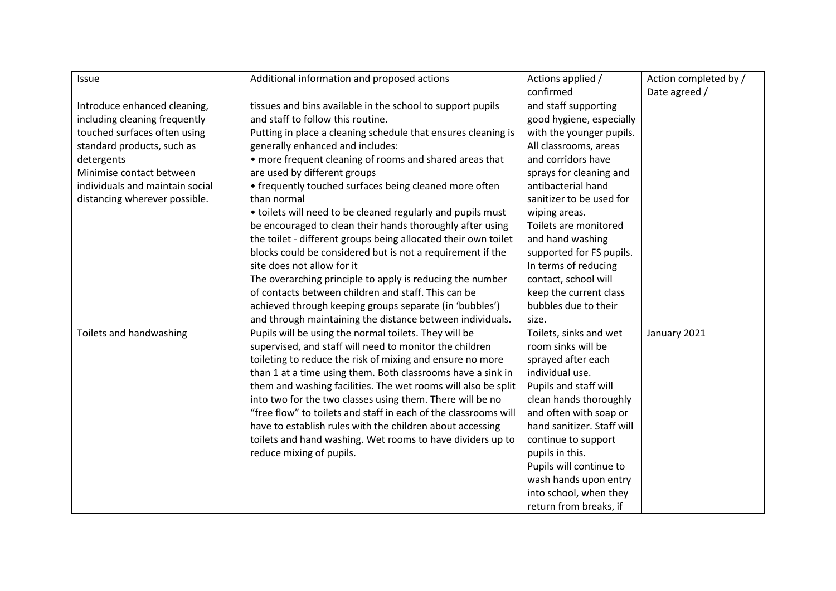| Issue                           | Additional information and proposed actions                     | Actions applied /          | Action completed by / |
|---------------------------------|-----------------------------------------------------------------|----------------------------|-----------------------|
|                                 |                                                                 | confirmed                  | Date agreed /         |
| Introduce enhanced cleaning,    | tissues and bins available in the school to support pupils      | and staff supporting       |                       |
| including cleaning frequently   | and staff to follow this routine.                               | good hygiene, especially   |                       |
| touched surfaces often using    | Putting in place a cleaning schedule that ensures cleaning is   | with the younger pupils.   |                       |
| standard products, such as      | generally enhanced and includes:                                | All classrooms, areas      |                       |
| detergents                      | • more frequent cleaning of rooms and shared areas that         | and corridors have         |                       |
| Minimise contact between        | are used by different groups                                    | sprays for cleaning and    |                       |
| individuals and maintain social | • frequently touched surfaces being cleaned more often          | antibacterial hand         |                       |
| distancing wherever possible.   | than normal                                                     | sanitizer to be used for   |                       |
|                                 | • toilets will need to be cleaned regularly and pupils must     | wiping areas.              |                       |
|                                 | be encouraged to clean their hands thoroughly after using       | Toilets are monitored      |                       |
|                                 | the toilet - different groups being allocated their own toilet  | and hand washing           |                       |
|                                 | blocks could be considered but is not a requirement if the      | supported for FS pupils.   |                       |
|                                 | site does not allow for it                                      | In terms of reducing       |                       |
|                                 | The overarching principle to apply is reducing the number       | contact, school will       |                       |
|                                 | of contacts between children and staff. This can be             | keep the current class     |                       |
|                                 | achieved through keeping groups separate (in 'bubbles')         | bubbles due to their       |                       |
|                                 | and through maintaining the distance between individuals.       | size.                      |                       |
| Toilets and handwashing         | Pupils will be using the normal toilets. They will be           | Toilets, sinks and wet     | January 2021          |
|                                 | supervised, and staff will need to monitor the children         | room sinks will be         |                       |
|                                 | toileting to reduce the risk of mixing and ensure no more       | sprayed after each         |                       |
|                                 | than 1 at a time using them. Both classrooms have a sink in     | individual use.            |                       |
|                                 | them and washing facilities. The wet rooms will also be split   | Pupils and staff will      |                       |
|                                 | into two for the two classes using them. There will be no       | clean hands thoroughly     |                       |
|                                 | "free flow" to toilets and staff in each of the classrooms will | and often with soap or     |                       |
|                                 | have to establish rules with the children about accessing       | hand sanitizer. Staff will |                       |
|                                 | toilets and hand washing. Wet rooms to have dividers up to      | continue to support        |                       |
|                                 | reduce mixing of pupils.                                        | pupils in this.            |                       |
|                                 |                                                                 | Pupils will continue to    |                       |
|                                 |                                                                 | wash hands upon entry      |                       |
|                                 |                                                                 | into school, when they     |                       |
|                                 |                                                                 | return from breaks, if     |                       |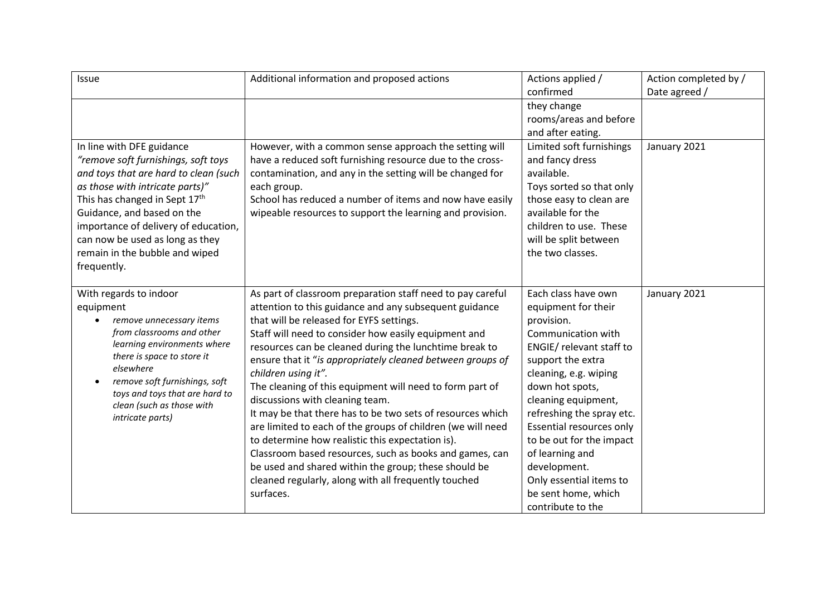| Issue                                                                                                                                                                                                                                                                                                                                   | Additional information and proposed actions                                                                                                                                                                                                                                                                                                                                                                                                                                                                                                                                                                                                                                                                                                                                                                                                     | Actions applied /<br>confirmed                                                                                                                                                                                                                                                                                                                                                                    | Action completed by /<br>Date agreed / |
|-----------------------------------------------------------------------------------------------------------------------------------------------------------------------------------------------------------------------------------------------------------------------------------------------------------------------------------------|-------------------------------------------------------------------------------------------------------------------------------------------------------------------------------------------------------------------------------------------------------------------------------------------------------------------------------------------------------------------------------------------------------------------------------------------------------------------------------------------------------------------------------------------------------------------------------------------------------------------------------------------------------------------------------------------------------------------------------------------------------------------------------------------------------------------------------------------------|---------------------------------------------------------------------------------------------------------------------------------------------------------------------------------------------------------------------------------------------------------------------------------------------------------------------------------------------------------------------------------------------------|----------------------------------------|
|                                                                                                                                                                                                                                                                                                                                         |                                                                                                                                                                                                                                                                                                                                                                                                                                                                                                                                                                                                                                                                                                                                                                                                                                                 | they change<br>rooms/areas and before<br>and after eating.                                                                                                                                                                                                                                                                                                                                        |                                        |
| In line with DFE guidance<br>"remove soft furnishings, soft toys<br>and toys that are hard to clean (such<br>as those with intricate parts)"<br>This has changed in Sept 17th<br>Guidance, and based on the<br>importance of delivery of education,<br>can now be used as long as they<br>remain in the bubble and wiped<br>frequently. | However, with a common sense approach the setting will<br>have a reduced soft furnishing resource due to the cross-<br>contamination, and any in the setting will be changed for<br>each group.<br>School has reduced a number of items and now have easily<br>wipeable resources to support the learning and provision.                                                                                                                                                                                                                                                                                                                                                                                                                                                                                                                        | Limited soft furnishings<br>and fancy dress<br>available.<br>Toys sorted so that only<br>those easy to clean are<br>available for the<br>children to use. These<br>will be split between<br>the two classes.                                                                                                                                                                                      | January 2021                           |
| With regards to indoor<br>equipment<br>remove unnecessary items<br>from classrooms and other<br>learning environments where<br>there is space to store it<br>elsewhere<br>remove soft furnishings, soft<br>toys and toys that are hard to<br>clean (such as those with<br>intricate parts)                                              | As part of classroom preparation staff need to pay careful<br>attention to this guidance and any subsequent guidance<br>that will be released for EYFS settings.<br>Staff will need to consider how easily equipment and<br>resources can be cleaned during the lunchtime break to<br>ensure that it "is appropriately cleaned between groups of<br>children using it".<br>The cleaning of this equipment will need to form part of<br>discussions with cleaning team.<br>It may be that there has to be two sets of resources which<br>are limited to each of the groups of children (we will need<br>to determine how realistic this expectation is).<br>Classroom based resources, such as books and games, can<br>be used and shared within the group; these should be<br>cleaned regularly, along with all frequently touched<br>surfaces. | Each class have own<br>equipment for their<br>provision.<br>Communication with<br>ENGIE/ relevant staff to<br>support the extra<br>cleaning, e.g. wiping<br>down hot spots,<br>cleaning equipment,<br>refreshing the spray etc.<br>Essential resources only<br>to be out for the impact<br>of learning and<br>development.<br>Only essential items to<br>be sent home, which<br>contribute to the | January 2021                           |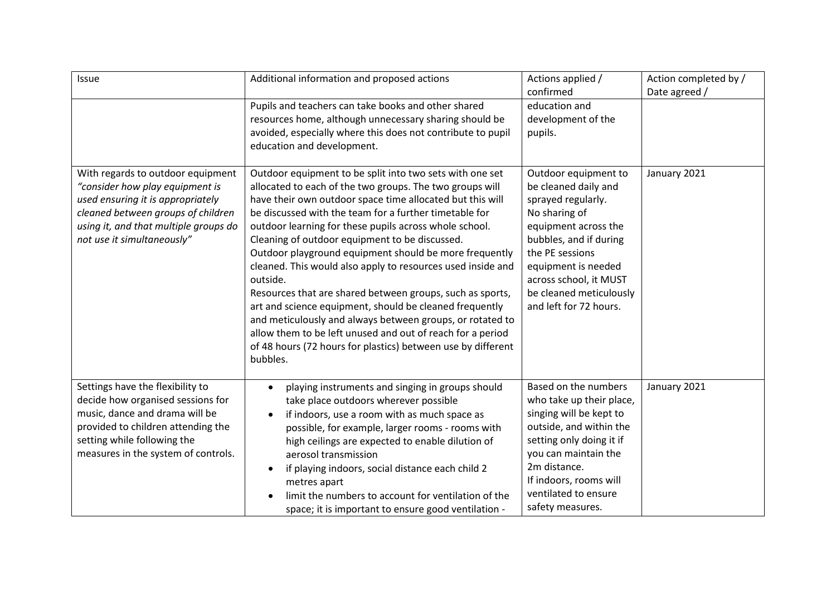| Issue                                                                                                                                                                                                                  | Additional information and proposed actions                                                                                                                                                                                                                                                                                                                                                                                                                                                                                                                                                                                                                                                                                                                                                                                 | Actions applied /<br>confirmed                                                                                                                                                                                                                                 | Action completed by /<br>Date agreed / |
|------------------------------------------------------------------------------------------------------------------------------------------------------------------------------------------------------------------------|-----------------------------------------------------------------------------------------------------------------------------------------------------------------------------------------------------------------------------------------------------------------------------------------------------------------------------------------------------------------------------------------------------------------------------------------------------------------------------------------------------------------------------------------------------------------------------------------------------------------------------------------------------------------------------------------------------------------------------------------------------------------------------------------------------------------------------|----------------------------------------------------------------------------------------------------------------------------------------------------------------------------------------------------------------------------------------------------------------|----------------------------------------|
|                                                                                                                                                                                                                        | Pupils and teachers can take books and other shared<br>resources home, although unnecessary sharing should be<br>avoided, especially where this does not contribute to pupil<br>education and development.                                                                                                                                                                                                                                                                                                                                                                                                                                                                                                                                                                                                                  | education and<br>development of the<br>pupils.                                                                                                                                                                                                                 |                                        |
| With regards to outdoor equipment<br>"consider how play equipment is<br>used ensuring it is appropriately<br>cleaned between groups of children<br>using it, and that multiple groups do<br>not use it simultaneously" | Outdoor equipment to be split into two sets with one set<br>allocated to each of the two groups. The two groups will<br>have their own outdoor space time allocated but this will<br>be discussed with the team for a further timetable for<br>outdoor learning for these pupils across whole school.<br>Cleaning of outdoor equipment to be discussed.<br>Outdoor playground equipment should be more frequently<br>cleaned. This would also apply to resources used inside and<br>outside.<br>Resources that are shared between groups, such as sports,<br>art and science equipment, should be cleaned frequently<br>and meticulously and always between groups, or rotated to<br>allow them to be left unused and out of reach for a period<br>of 48 hours (72 hours for plastics) between use by different<br>bubbles. | Outdoor equipment to<br>be cleaned daily and<br>sprayed regularly.<br>No sharing of<br>equipment across the<br>bubbles, and if during<br>the PE sessions<br>equipment is needed<br>across school, it MUST<br>be cleaned meticulously<br>and left for 72 hours. | January 2021                           |
| Settings have the flexibility to<br>decide how organised sessions for<br>music, dance and drama will be<br>provided to children attending the<br>setting while following the<br>measures in the system of controls.    | playing instruments and singing in groups should<br>$\bullet$<br>take place outdoors wherever possible<br>if indoors, use a room with as much space as<br>$\bullet$<br>possible, for example, larger rooms - rooms with<br>high ceilings are expected to enable dilution of<br>aerosol transmission<br>if playing indoors, social distance each child 2<br>$\bullet$<br>metres apart<br>limit the numbers to account for ventilation of the<br>space; it is important to ensure good ventilation -                                                                                                                                                                                                                                                                                                                          | Based on the numbers<br>who take up their place,<br>singing will be kept to<br>outside, and within the<br>setting only doing it if<br>you can maintain the<br>2m distance.<br>If indoors, rooms will<br>ventilated to ensure<br>safety measures.               | January 2021                           |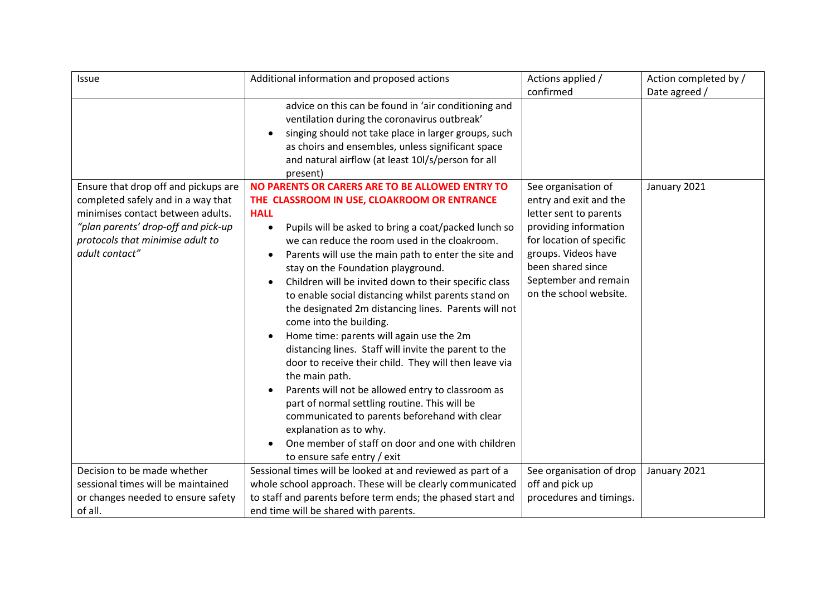| Issue                                                                                                                                                                                                        | Additional information and proposed actions                                                                                                                                                                                                                                                                                                                                                                                                                                                                                                                                                                                                                                                                                                                                                                                                                                                                                                                                                                                                   | Actions applied /                                                                                                                                                                                                          | Action completed by / |
|--------------------------------------------------------------------------------------------------------------------------------------------------------------------------------------------------------------|-----------------------------------------------------------------------------------------------------------------------------------------------------------------------------------------------------------------------------------------------------------------------------------------------------------------------------------------------------------------------------------------------------------------------------------------------------------------------------------------------------------------------------------------------------------------------------------------------------------------------------------------------------------------------------------------------------------------------------------------------------------------------------------------------------------------------------------------------------------------------------------------------------------------------------------------------------------------------------------------------------------------------------------------------|----------------------------------------------------------------------------------------------------------------------------------------------------------------------------------------------------------------------------|-----------------------|
|                                                                                                                                                                                                              |                                                                                                                                                                                                                                                                                                                                                                                                                                                                                                                                                                                                                                                                                                                                                                                                                                                                                                                                                                                                                                               | confirmed                                                                                                                                                                                                                  | Date agreed /         |
|                                                                                                                                                                                                              | advice on this can be found in 'air conditioning and<br>ventilation during the coronavirus outbreak'<br>singing should not take place in larger groups, such<br>$\bullet$<br>as choirs and ensembles, unless significant space<br>and natural airflow (at least 10l/s/person for all<br>present)                                                                                                                                                                                                                                                                                                                                                                                                                                                                                                                                                                                                                                                                                                                                              |                                                                                                                                                                                                                            |                       |
| Ensure that drop off and pickups are<br>completed safely and in a way that<br>minimises contact between adults.<br>"plan parents' drop-off and pick-up<br>protocols that minimise adult to<br>adult contact" | NO PARENTS OR CARERS ARE TO BE ALLOWED ENTRY TO<br>THE CLASSROOM IN USE, CLOAKROOM OR ENTRANCE<br><b>HALL</b><br>Pupils will be asked to bring a coat/packed lunch so<br>$\bullet$<br>we can reduce the room used in the cloakroom.<br>Parents will use the main path to enter the site and<br>$\bullet$<br>stay on the Foundation playground.<br>Children will be invited down to their specific class<br>$\bullet$<br>to enable social distancing whilst parents stand on<br>the designated 2m distancing lines. Parents will not<br>come into the building.<br>Home time: parents will again use the 2m<br>$\bullet$<br>distancing lines. Staff will invite the parent to the<br>door to receive their child. They will then leave via<br>the main path.<br>Parents will not be allowed entry to classroom as<br>$\bullet$<br>part of normal settling routine. This will be<br>communicated to parents beforehand with clear<br>explanation as to why.<br>One member of staff on door and one with children<br>to ensure safe entry / exit | See organisation of<br>entry and exit and the<br>letter sent to parents<br>providing information<br>for location of specific<br>groups. Videos have<br>been shared since<br>September and remain<br>on the school website. | January 2021          |
| Decision to be made whether                                                                                                                                                                                  | Sessional times will be looked at and reviewed as part of a                                                                                                                                                                                                                                                                                                                                                                                                                                                                                                                                                                                                                                                                                                                                                                                                                                                                                                                                                                                   | See organisation of drop                                                                                                                                                                                                   | January 2021          |
| sessional times will be maintained                                                                                                                                                                           | whole school approach. These will be clearly communicated                                                                                                                                                                                                                                                                                                                                                                                                                                                                                                                                                                                                                                                                                                                                                                                                                                                                                                                                                                                     | off and pick up                                                                                                                                                                                                            |                       |
| or changes needed to ensure safety                                                                                                                                                                           | to staff and parents before term ends; the phased start and                                                                                                                                                                                                                                                                                                                                                                                                                                                                                                                                                                                                                                                                                                                                                                                                                                                                                                                                                                                   | procedures and timings.                                                                                                                                                                                                    |                       |
| of all.                                                                                                                                                                                                      | end time will be shared with parents.                                                                                                                                                                                                                                                                                                                                                                                                                                                                                                                                                                                                                                                                                                                                                                                                                                                                                                                                                                                                         |                                                                                                                                                                                                                            |                       |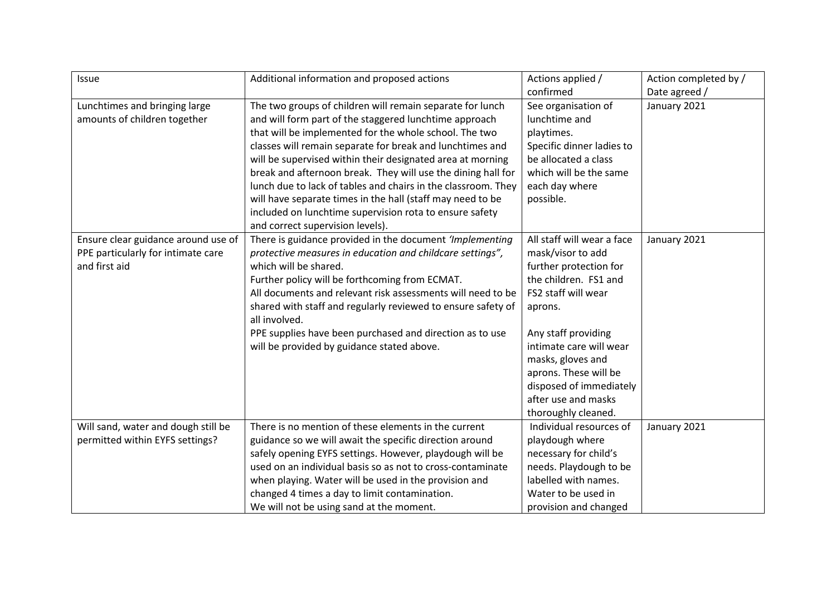| Issue                               | Additional information and proposed actions                   | Actions applied /          | Action completed by / |
|-------------------------------------|---------------------------------------------------------------|----------------------------|-----------------------|
|                                     |                                                               | confirmed                  | Date agreed /         |
| Lunchtimes and bringing large       | The two groups of children will remain separate for lunch     | See organisation of        | January 2021          |
| amounts of children together        | and will form part of the staggered lunchtime approach        | lunchtime and              |                       |
|                                     | that will be implemented for the whole school. The two        | playtimes.                 |                       |
|                                     | classes will remain separate for break and lunchtimes and     | Specific dinner ladies to  |                       |
|                                     | will be supervised within their designated area at morning    | be allocated a class       |                       |
|                                     | break and afternoon break. They will use the dining hall for  | which will be the same     |                       |
|                                     | lunch due to lack of tables and chairs in the classroom. They | each day where             |                       |
|                                     | will have separate times in the hall (staff may need to be    | possible.                  |                       |
|                                     | included on lunchtime supervision rota to ensure safety       |                            |                       |
|                                     | and correct supervision levels).                              |                            |                       |
| Ensure clear guidance around use of | There is guidance provided in the document 'Implementing      | All staff will wear a face | January 2021          |
| PPE particularly for intimate care  | protective measures in education and childcare settings",     | mask/visor to add          |                       |
| and first aid                       | which will be shared.                                         | further protection for     |                       |
|                                     | Further policy will be forthcoming from ECMAT.                | the children. FS1 and      |                       |
|                                     | All documents and relevant risk assessments will need to be   | FS2 staff will wear        |                       |
|                                     | shared with staff and regularly reviewed to ensure safety of  | aprons.                    |                       |
|                                     | all involved.                                                 |                            |                       |
|                                     | PPE supplies have been purchased and direction as to use      | Any staff providing        |                       |
|                                     | will be provided by guidance stated above.                    | intimate care will wear    |                       |
|                                     |                                                               | masks, gloves and          |                       |
|                                     |                                                               | aprons. These will be      |                       |
|                                     |                                                               | disposed of immediately    |                       |
|                                     |                                                               | after use and masks        |                       |
|                                     |                                                               | thoroughly cleaned.        |                       |
| Will sand, water and dough still be | There is no mention of these elements in the current          | Individual resources of    | January 2021          |
| permitted within EYFS settings?     | guidance so we will await the specific direction around       | playdough where            |                       |
|                                     | safely opening EYFS settings. However, playdough will be      | necessary for child's      |                       |
|                                     | used on an individual basis so as not to cross-contaminate    | needs. Playdough to be     |                       |
|                                     | when playing. Water will be used in the provision and         | labelled with names.       |                       |
|                                     | changed 4 times a day to limit contamination.                 | Water to be used in        |                       |
|                                     | We will not be using sand at the moment.                      | provision and changed      |                       |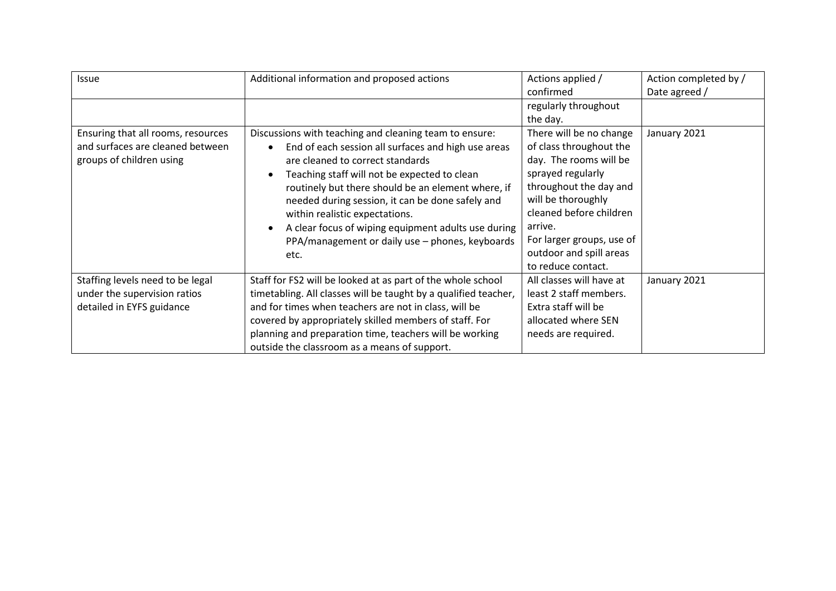| Issue                                                                                              | Additional information and proposed actions                                                                                                                                                                                                                                                                                                                                                                                                                                                            | Actions applied /<br>confirmed                                                                                                                                                                                                                                        | Action completed by /<br>Date agreed / |
|----------------------------------------------------------------------------------------------------|--------------------------------------------------------------------------------------------------------------------------------------------------------------------------------------------------------------------------------------------------------------------------------------------------------------------------------------------------------------------------------------------------------------------------------------------------------------------------------------------------------|-----------------------------------------------------------------------------------------------------------------------------------------------------------------------------------------------------------------------------------------------------------------------|----------------------------------------|
|                                                                                                    |                                                                                                                                                                                                                                                                                                                                                                                                                                                                                                        | regularly throughout<br>the day.                                                                                                                                                                                                                                      |                                        |
| Ensuring that all rooms, resources<br>and surfaces are cleaned between<br>groups of children using | Discussions with teaching and cleaning team to ensure:<br>End of each session all surfaces and high use areas<br>$\bullet$<br>are cleaned to correct standards<br>Teaching staff will not be expected to clean<br>$\bullet$<br>routinely but there should be an element where, if<br>needed during session, it can be done safely and<br>within realistic expectations.<br>A clear focus of wiping equipment adults use during<br>$\bullet$<br>PPA/management or daily use - phones, keyboards<br>etc. | There will be no change<br>of class throughout the<br>day. The rooms will be<br>sprayed regularly<br>throughout the day and<br>will be thoroughly<br>cleaned before children<br>arrive.<br>For larger groups, use of<br>outdoor and spill areas<br>to reduce contact. | January 2021                           |
| Staffing levels need to be legal<br>under the supervision ratios<br>detailed in EYFS guidance      | Staff for FS2 will be looked at as part of the whole school<br>timetabling. All classes will be taught by a qualified teacher,<br>and for times when teachers are not in class, will be<br>covered by appropriately skilled members of staff. For<br>planning and preparation time, teachers will be working<br>outside the classroom as a means of support.                                                                                                                                           | All classes will have at<br>least 2 staff members.<br>Extra staff will be<br>allocated where SEN<br>needs are required.                                                                                                                                               | January 2021                           |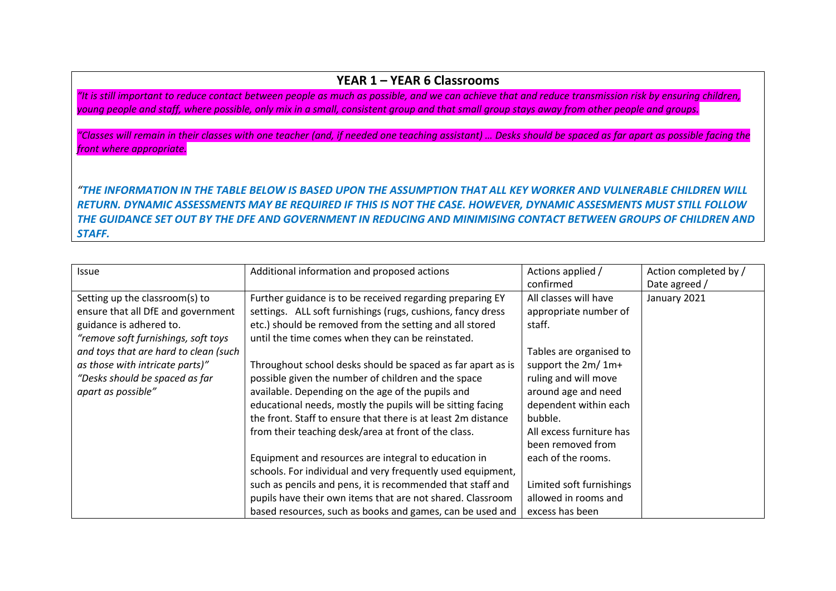### **YEAR 1 – YEAR 6 Classrooms**

*"It is still important to reduce contact between people as much as possible, and we can achieve that and reduce transmission risk by ensuring children, young people and staff, where possible, only mix in a small, consistent group and that small group stays away from other people and groups.* 

*"Classes will remain in their classes with one teacher (and, if needed one teaching assistant) … Desks should be spaced as far apart as possible facing the front where appropriate.*

*"THE INFORMATION IN THE TABLE BELOW IS BASED UPON THE ASSUMPTION THAT ALL KEY WORKER AND VULNERABLE CHILDREN WILL RETURN. DYNAMIC ASSESSMENTS MAY BE REQUIRED IF THIS IS NOT THE CASE. HOWEVER, DYNAMIC ASSESMENTS MUST STILL FOLLOW THE GUIDANCE SET OUT BY THE DFE AND GOVERNMENT IN REDUCING AND MINIMISING CONTACT BETWEEN GROUPS OF CHILDREN AND STAFF.*

| <b>Issue</b>                          | Additional information and proposed actions                   | Actions applied /        | Action completed by / |
|---------------------------------------|---------------------------------------------------------------|--------------------------|-----------------------|
|                                       |                                                               | confirmed                | Date agreed /         |
|                                       |                                                               |                          |                       |
| Setting up the classroom(s) to        | Further guidance is to be received regarding preparing EY     | All classes will have    | January 2021          |
| ensure that all DfE and government    | settings. ALL soft furnishings (rugs, cushions, fancy dress   | appropriate number of    |                       |
| guidance is adhered to.               | etc.) should be removed from the setting and all stored       | staff.                   |                       |
| "remove soft furnishings, soft toys   | until the time comes when they can be reinstated.             |                          |                       |
| and toys that are hard to clean (such |                                                               | Tables are organised to  |                       |
| as those with intricate parts)"       | Throughout school desks should be spaced as far apart as is   | support the 2m/ 1m+      |                       |
| "Desks should be spaced as far        | possible given the number of children and the space           | ruling and will move     |                       |
| apart as possible"                    | available. Depending on the age of the pupils and             | around age and need      |                       |
|                                       | educational needs, mostly the pupils will be sitting facing   | dependent within each    |                       |
|                                       | the front. Staff to ensure that there is at least 2m distance | bubble.                  |                       |
|                                       | from their teaching desk/area at front of the class.          | All excess furniture has |                       |
|                                       |                                                               | been removed from        |                       |
|                                       | Equipment and resources are integral to education in          | each of the rooms.       |                       |
|                                       | schools. For individual and very frequently used equipment,   |                          |                       |
|                                       | such as pencils and pens, it is recommended that staff and    | Limited soft furnishings |                       |
|                                       | pupils have their own items that are not shared. Classroom    | allowed in rooms and     |                       |
|                                       | based resources, such as books and games, can be used and     | excess has been          |                       |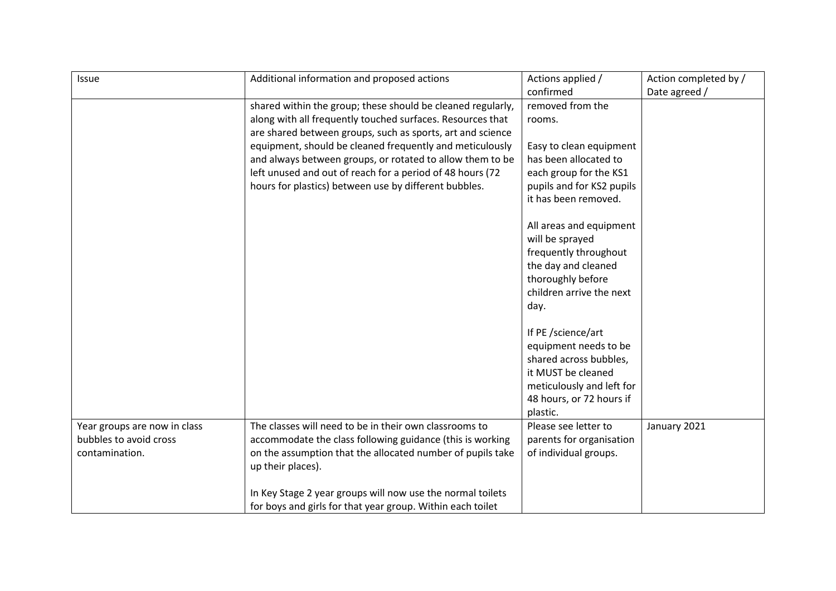| Issue                        | Additional information and proposed actions                 | Actions applied /                             | Action completed by / |
|------------------------------|-------------------------------------------------------------|-----------------------------------------------|-----------------------|
|                              |                                                             | confirmed                                     | Date agreed /         |
|                              | shared within the group; these should be cleaned regularly, | removed from the                              |                       |
|                              | along with all frequently touched surfaces. Resources that  | rooms.                                        |                       |
|                              | are shared between groups, such as sports, art and science  |                                               |                       |
|                              | equipment, should be cleaned frequently and meticulously    | Easy to clean equipment                       |                       |
|                              | and always between groups, or rotated to allow them to be   | has been allocated to                         |                       |
|                              | left unused and out of reach for a period of 48 hours (72   | each group for the KS1                        |                       |
|                              | hours for plastics) between use by different bubbles.       | pupils and for KS2 pupils                     |                       |
|                              |                                                             | it has been removed.                          |                       |
|                              |                                                             |                                               |                       |
|                              |                                                             | All areas and equipment                       |                       |
|                              |                                                             | will be sprayed                               |                       |
|                              |                                                             | frequently throughout                         |                       |
|                              |                                                             | the day and cleaned                           |                       |
|                              |                                                             | thoroughly before<br>children arrive the next |                       |
|                              |                                                             | day.                                          |                       |
|                              |                                                             |                                               |                       |
|                              |                                                             | If PE /science/art                            |                       |
|                              |                                                             | equipment needs to be                         |                       |
|                              |                                                             | shared across bubbles,                        |                       |
|                              |                                                             | it MUST be cleaned                            |                       |
|                              |                                                             | meticulously and left for                     |                       |
|                              |                                                             | 48 hours, or 72 hours if                      |                       |
|                              |                                                             | plastic.                                      |                       |
| Year groups are now in class | The classes will need to be in their own classrooms to      | Please see letter to                          | January 2021          |
| bubbles to avoid cross       | accommodate the class following guidance (this is working   | parents for organisation                      |                       |
| contamination.               | on the assumption that the allocated number of pupils take  | of individual groups.                         |                       |
|                              | up their places).                                           |                                               |                       |
|                              |                                                             |                                               |                       |
|                              | In Key Stage 2 year groups will now use the normal toilets  |                                               |                       |
|                              | for boys and girls for that year group. Within each toilet  |                                               |                       |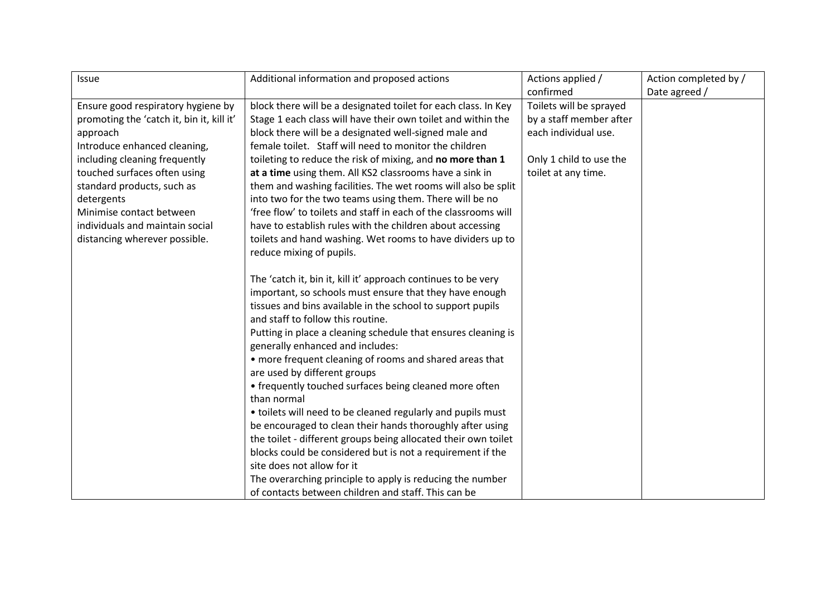| <b>Issue</b>                              | Additional information and proposed actions                     | Actions applied /       | Action completed by / |
|-------------------------------------------|-----------------------------------------------------------------|-------------------------|-----------------------|
|                                           |                                                                 | confirmed               | Date agreed /         |
| Ensure good respiratory hygiene by        | block there will be a designated toilet for each class. In Key  | Toilets will be sprayed |                       |
| promoting the 'catch it, bin it, kill it' | Stage 1 each class will have their own toilet and within the    | by a staff member after |                       |
| approach                                  | block there will be a designated well-signed male and           | each individual use.    |                       |
| Introduce enhanced cleaning,              | female toilet. Staff will need to monitor the children          |                         |                       |
| including cleaning frequently             | toileting to reduce the risk of mixing, and no more than 1      | Only 1 child to use the |                       |
| touched surfaces often using              | at a time using them. All KS2 classrooms have a sink in         | toilet at any time.     |                       |
| standard products, such as                | them and washing facilities. The wet rooms will also be split   |                         |                       |
| detergents                                | into two for the two teams using them. There will be no         |                         |                       |
| Minimise contact between                  | 'free flow' to toilets and staff in each of the classrooms will |                         |                       |
| individuals and maintain social           | have to establish rules with the children about accessing       |                         |                       |
| distancing wherever possible.             | toilets and hand washing. Wet rooms to have dividers up to      |                         |                       |
|                                           | reduce mixing of pupils.                                        |                         |                       |
|                                           |                                                                 |                         |                       |
|                                           | The 'catch it, bin it, kill it' approach continues to be very   |                         |                       |
|                                           | important, so schools must ensure that they have enough         |                         |                       |
|                                           | tissues and bins available in the school to support pupils      |                         |                       |
|                                           | and staff to follow this routine.                               |                         |                       |
|                                           | Putting in place a cleaning schedule that ensures cleaning is   |                         |                       |
|                                           | generally enhanced and includes:                                |                         |                       |
|                                           | • more frequent cleaning of rooms and shared areas that         |                         |                       |
|                                           | are used by different groups                                    |                         |                       |
|                                           | • frequently touched surfaces being cleaned more often          |                         |                       |
|                                           | than normal                                                     |                         |                       |
|                                           | • toilets will need to be cleaned regularly and pupils must     |                         |                       |
|                                           | be encouraged to clean their hands thoroughly after using       |                         |                       |
|                                           | the toilet - different groups being allocated their own toilet  |                         |                       |
|                                           | blocks could be considered but is not a requirement if the      |                         |                       |
|                                           | site does not allow for it                                      |                         |                       |
|                                           | The overarching principle to apply is reducing the number       |                         |                       |
|                                           | of contacts between children and staff. This can be             |                         |                       |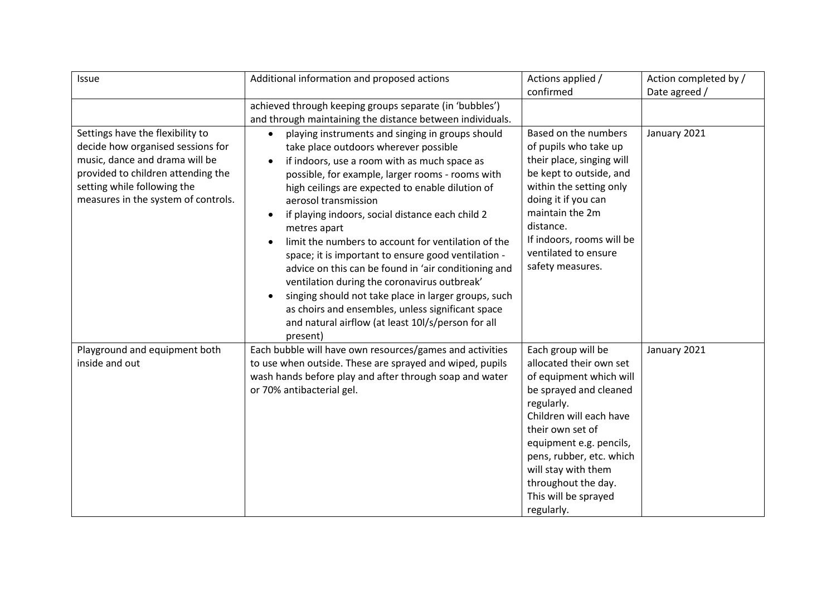| Issue                                                                                                                                                                                                               | Additional information and proposed actions                                                                                                                                                                                                                                                                                                                                                                                                                                                                                                                                                                                                                                                                                                                                  | Actions applied /                                                                                                                                                                                                                                                | Action completed by / |
|---------------------------------------------------------------------------------------------------------------------------------------------------------------------------------------------------------------------|------------------------------------------------------------------------------------------------------------------------------------------------------------------------------------------------------------------------------------------------------------------------------------------------------------------------------------------------------------------------------------------------------------------------------------------------------------------------------------------------------------------------------------------------------------------------------------------------------------------------------------------------------------------------------------------------------------------------------------------------------------------------------|------------------------------------------------------------------------------------------------------------------------------------------------------------------------------------------------------------------------------------------------------------------|-----------------------|
|                                                                                                                                                                                                                     |                                                                                                                                                                                                                                                                                                                                                                                                                                                                                                                                                                                                                                                                                                                                                                              | confirmed                                                                                                                                                                                                                                                        | Date agreed /         |
|                                                                                                                                                                                                                     | achieved through keeping groups separate (in 'bubbles')                                                                                                                                                                                                                                                                                                                                                                                                                                                                                                                                                                                                                                                                                                                      |                                                                                                                                                                                                                                                                  |                       |
|                                                                                                                                                                                                                     | and through maintaining the distance between individuals.                                                                                                                                                                                                                                                                                                                                                                                                                                                                                                                                                                                                                                                                                                                    |                                                                                                                                                                                                                                                                  |                       |
| Settings have the flexibility to<br>decide how organised sessions for<br>music, dance and drama will be<br>provided to children attending the<br>setting while following the<br>measures in the system of controls. | playing instruments and singing in groups should<br>$\bullet$<br>take place outdoors wherever possible<br>if indoors, use a room with as much space as<br>possible, for example, larger rooms - rooms with<br>high ceilings are expected to enable dilution of<br>aerosol transmission<br>if playing indoors, social distance each child 2<br>$\bullet$<br>metres apart<br>limit the numbers to account for ventilation of the<br>space; it is important to ensure good ventilation -<br>advice on this can be found in 'air conditioning and<br>ventilation during the coronavirus outbreak'<br>singing should not take place in larger groups, such<br>as choirs and ensembles, unless significant space<br>and natural airflow (at least 10l/s/person for all<br>present) | Based on the numbers<br>of pupils who take up<br>their place, singing will<br>be kept to outside, and<br>within the setting only<br>doing it if you can<br>maintain the 2m<br>distance.<br>If indoors, rooms will be<br>ventilated to ensure<br>safety measures. | January 2021          |
| Playground and equipment both                                                                                                                                                                                       | Each bubble will have own resources/games and activities                                                                                                                                                                                                                                                                                                                                                                                                                                                                                                                                                                                                                                                                                                                     | Each group will be                                                                                                                                                                                                                                               | January 2021          |
| inside and out                                                                                                                                                                                                      | to use when outside. These are sprayed and wiped, pupils                                                                                                                                                                                                                                                                                                                                                                                                                                                                                                                                                                                                                                                                                                                     | allocated their own set                                                                                                                                                                                                                                          |                       |
|                                                                                                                                                                                                                     | wash hands before play and after through soap and water                                                                                                                                                                                                                                                                                                                                                                                                                                                                                                                                                                                                                                                                                                                      | of equipment which will                                                                                                                                                                                                                                          |                       |
|                                                                                                                                                                                                                     | or 70% antibacterial gel.                                                                                                                                                                                                                                                                                                                                                                                                                                                                                                                                                                                                                                                                                                                                                    | be sprayed and cleaned                                                                                                                                                                                                                                           |                       |
|                                                                                                                                                                                                                     |                                                                                                                                                                                                                                                                                                                                                                                                                                                                                                                                                                                                                                                                                                                                                                              | regularly.<br>Children will each have                                                                                                                                                                                                                            |                       |
|                                                                                                                                                                                                                     |                                                                                                                                                                                                                                                                                                                                                                                                                                                                                                                                                                                                                                                                                                                                                                              | their own set of                                                                                                                                                                                                                                                 |                       |
|                                                                                                                                                                                                                     |                                                                                                                                                                                                                                                                                                                                                                                                                                                                                                                                                                                                                                                                                                                                                                              | equipment e.g. pencils,                                                                                                                                                                                                                                          |                       |
|                                                                                                                                                                                                                     |                                                                                                                                                                                                                                                                                                                                                                                                                                                                                                                                                                                                                                                                                                                                                                              | pens, rubber, etc. which                                                                                                                                                                                                                                         |                       |
|                                                                                                                                                                                                                     |                                                                                                                                                                                                                                                                                                                                                                                                                                                                                                                                                                                                                                                                                                                                                                              | will stay with them                                                                                                                                                                                                                                              |                       |
|                                                                                                                                                                                                                     |                                                                                                                                                                                                                                                                                                                                                                                                                                                                                                                                                                                                                                                                                                                                                                              | throughout the day.                                                                                                                                                                                                                                              |                       |
|                                                                                                                                                                                                                     |                                                                                                                                                                                                                                                                                                                                                                                                                                                                                                                                                                                                                                                                                                                                                                              | This will be sprayed                                                                                                                                                                                                                                             |                       |
|                                                                                                                                                                                                                     |                                                                                                                                                                                                                                                                                                                                                                                                                                                                                                                                                                                                                                                                                                                                                                              | regularly.                                                                                                                                                                                                                                                       |                       |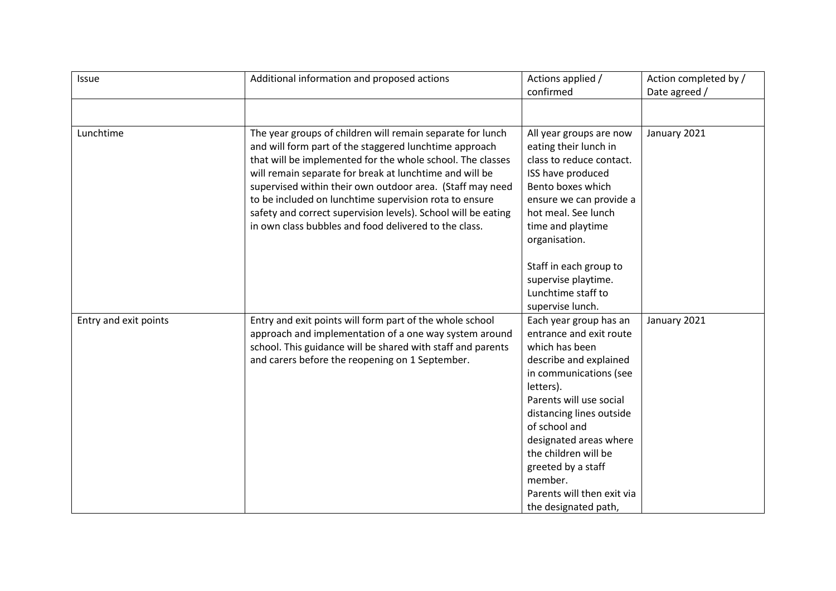| <b>Issue</b>          | Additional information and proposed actions                                                                                                                                                                                                                                                                                                                                                                                                                                                    | Actions applied /                                                                                                                                                                                                                                                                                                                                     | Action completed by / |
|-----------------------|------------------------------------------------------------------------------------------------------------------------------------------------------------------------------------------------------------------------------------------------------------------------------------------------------------------------------------------------------------------------------------------------------------------------------------------------------------------------------------------------|-------------------------------------------------------------------------------------------------------------------------------------------------------------------------------------------------------------------------------------------------------------------------------------------------------------------------------------------------------|-----------------------|
|                       |                                                                                                                                                                                                                                                                                                                                                                                                                                                                                                | confirmed                                                                                                                                                                                                                                                                                                                                             | Date agreed /         |
|                       |                                                                                                                                                                                                                                                                                                                                                                                                                                                                                                |                                                                                                                                                                                                                                                                                                                                                       |                       |
| Lunchtime             | The year groups of children will remain separate for lunch<br>and will form part of the staggered lunchtime approach<br>that will be implemented for the whole school. The classes<br>will remain separate for break at lunchtime and will be<br>supervised within their own outdoor area. (Staff may need<br>to be included on lunchtime supervision rota to ensure<br>safety and correct supervision levels). School will be eating<br>in own class bubbles and food delivered to the class. | All year groups are now<br>eating their lunch in<br>class to reduce contact.<br>ISS have produced<br>Bento boxes which<br>ensure we can provide a<br>hot meal. See lunch                                                                                                                                                                              | January 2021          |
|                       |                                                                                                                                                                                                                                                                                                                                                                                                                                                                                                | time and playtime<br>organisation.<br>Staff in each group to<br>supervise playtime.<br>Lunchtime staff to<br>supervise lunch.                                                                                                                                                                                                                         |                       |
| Entry and exit points | Entry and exit points will form part of the whole school<br>approach and implementation of a one way system around<br>school. This guidance will be shared with staff and parents<br>and carers before the reopening on 1 September.                                                                                                                                                                                                                                                           | Each year group has an<br>entrance and exit route<br>which has been<br>describe and explained<br>in communications (see<br>letters).<br>Parents will use social<br>distancing lines outside<br>of school and<br>designated areas where<br>the children will be<br>greeted by a staff<br>member.<br>Parents will then exit via<br>the designated path, | January 2021          |